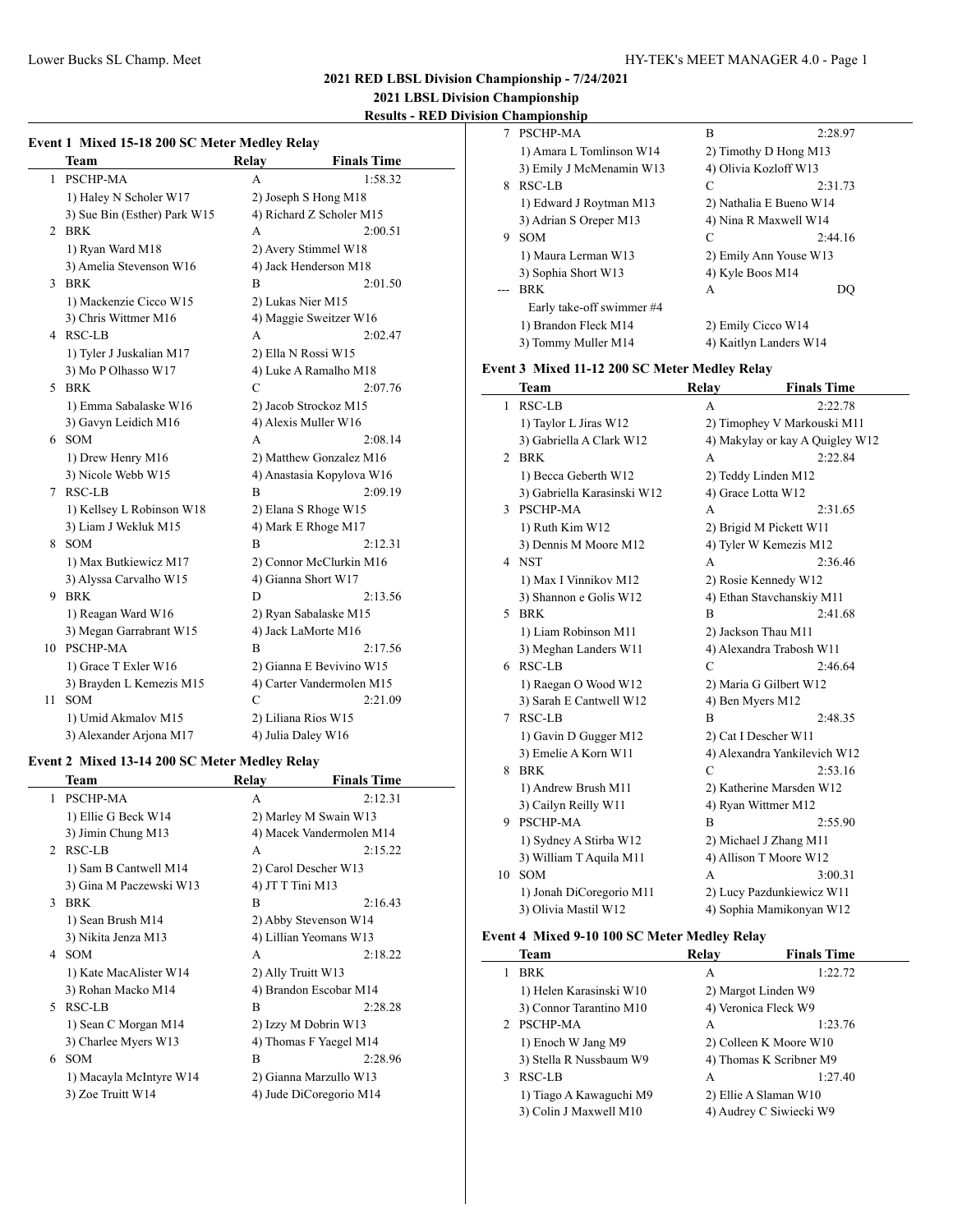$\overline{a}$ 

**2021 RED LBSL Division Championship - 7/24/2021**

**2021 LBSL Division Championship Results - RED Division Championship**

| ut 1 Mirrol 15 10 200 CC Motor Modley Deloy |  |  |  |  |  |
|---------------------------------------------|--|--|--|--|--|

|    | Event 1 Mixed 15-18 200 SC Meter Medley Relay |               |                           |  |  |
|----|-----------------------------------------------|---------------|---------------------------|--|--|
|    | <b>Team</b>                                   | Relay         | <b>Finals Time</b>        |  |  |
| 1  | <b>PSCHP-MA</b>                               | A             | 1:58.32                   |  |  |
|    | 1) Haley N Scholer W17                        |               | 2) Joseph S Hong M18      |  |  |
|    | 3) Sue Bin (Esther) Park W15                  |               | 4) Richard Z Scholer M15  |  |  |
| 2  | <b>BRK</b>                                    | A             | 2:00.51                   |  |  |
|    | 1) Ryan Ward M18                              |               | 2) Avery Stimmel W18      |  |  |
|    | 3) Amelia Stevenson W16                       |               | 4) Jack Henderson M18     |  |  |
| 3  | <b>BRK</b>                                    | B             | 2:01.50                   |  |  |
|    | 1) Mackenzie Cicco W15                        |               | 2) Lukas Nier M15         |  |  |
|    | 3) Chris Wittmer M16                          |               | 4) Maggie Sweitzer W16    |  |  |
|    | 4 RSC-LB                                      | A             | 2:02.47                   |  |  |
|    | 1) Tyler J Juskalian M17                      |               | 2) Ella N Rossi W15       |  |  |
|    | 3) Mo P Olhasso W17                           |               | 4) Luke A Ramalho M18     |  |  |
| 5. | <b>BRK</b>                                    | $\mathcal{C}$ | 2:07.76                   |  |  |
|    | 1) Emma Sabalaske W16                         |               | 2) Jacob Strockoz M15     |  |  |
|    | 3) Gavyn Leidich M16                          |               | 4) Alexis Muller W16      |  |  |
| 6  | <b>SOM</b>                                    | A             | 2:08.14                   |  |  |
|    | 1) Drew Henry M16                             |               | 2) Matthew Gonzalez M16   |  |  |
|    | 3) Nicole Webb W15                            |               | 4) Anastasia Kopylova W16 |  |  |
| 7  | <b>RSC-LB</b>                                 | B             | 2:09.19                   |  |  |
|    | 1) Kellsey L Robinson W18                     |               | 2) Elana S Rhoge W15      |  |  |
|    | 3) Liam J Wekluk M15                          |               | 4) Mark E Rhoge M17       |  |  |
| 8  | <b>SOM</b>                                    | B             | 2:12.31                   |  |  |
|    | 1) Max Butkiewicz M17                         |               | 2) Connor McClurkin M16   |  |  |
|    | 3) Alyssa Carvalho W15                        |               | 4) Gianna Short W17       |  |  |
| 9. | <b>BRK</b>                                    | D             | 2:13.56                   |  |  |
|    | 1) Reagan Ward W16                            |               | 2) Ryan Sabalaske M15     |  |  |
|    | 3) Megan Garrabrant W15                       |               | 4) Jack LaMorte M16       |  |  |
| 10 | <b>PSCHP-MA</b>                               | B             | 2:17.56                   |  |  |
|    | 1) Grace T Exler W16                          |               | 2) Gianna E Bevivino W15  |  |  |
|    | 3) Brayden L Kemezis M15                      |               | 4) Carter Vandermolen M15 |  |  |
| 11 | <b>SOM</b>                                    | C             | 2:21.09                   |  |  |
|    | 1) Umid Akmalov M15                           |               | 2) Liliana Rios W15       |  |  |
|    | 3) Alexander Arjona M17                       |               | 4) Julia Daley W16        |  |  |

## **Event 2 Mixed 13-14 200 SC Meter Medley Relay**

|             | Team                    | Relav            | <b>Finals Time</b>       |
|-------------|-------------------------|------------------|--------------------------|
| 1           | <b>PSCHP-MA</b>         | A                | 2:12.31                  |
|             | 1) Ellie G Beck W14     |                  | 2) Marley M Swain W13    |
|             | 3) Jimin Chung M13      |                  | 4) Macek Vandermolen M14 |
| $2^{\circ}$ | RSC-LB                  | A                | 2:15.22                  |
|             | 1) Sam B Cantwell M14   |                  | 2) Carol Descher W13     |
|             | 3) Gina M Paczewski W13 | 4) JT T Tini M13 |                          |
| 3           | BRK                     | B                | 2:16.43                  |
|             | 1) Sean Brush M14       |                  | 2) Abby Stevenson W14    |
|             | 3) Nikita Jenza M13     |                  | 4) Lillian Yeomans W13   |
|             | 4 SOM                   | A                | 2:18.22                  |
|             | 1) Kate MacAlister W14  |                  | 2) Ally Truitt W13       |
|             | 3) Rohan Macko M14      |                  | 4) Brandon Escobar M14   |
| 5           | RSC-LB                  | B                | 2:28.28                  |
|             | 1) Sean C Morgan M14    |                  | 2) Izzy M Dobrin W13     |
|             | 3) Charlee Myers W13    |                  | 4) Thomas F Yaegel M14   |
| 6           | <b>SOM</b>              | B                | 2:28.96                  |
|             | 1) Macayla McIntyre W14 |                  | 2) Gianna Marzullo W13   |
|             | 3) Zoe Truitt W14       |                  | 4) Jude DiCoregorio M14  |

|   | PSCHP-MA                  | B                       | 2:28.97 |
|---|---------------------------|-------------------------|---------|
|   | 1) Amara L Tomlinson W14  | 2) Timothy D Hong M13   |         |
|   | 3) Emily J McMenamin W13  | 4) Olivia Kozloff W13   |         |
| 8 | RSC-LB                    | C                       | 2:31.73 |
|   | 1) Edward J Roytman M13   | 2) Nathalia E Bueno W14 |         |
|   | 3) Adrian S Oreper M13    | 4) Nina R Maxwell W14   |         |
| 9 | <b>SOM</b>                | C                       | 2:44.16 |
|   | 1) Maura Lerman W13       | 2) Emily Ann Youse W13  |         |
|   | 3) Sophia Short W13       | 4) Kyle Boos M14        |         |
|   | <b>BRK</b>                | A                       | DO      |
|   | Early take-off swimmer #4 |                         |         |
|   | 1) Brandon Fleck M14      | 2) Emily Cicco W14      |         |
|   | 3) Tommy Muller M14       | 4) Kaitlyn Landers W14  |         |
|   |                           |                         |         |

## **Event 3 Mixed 11-12 200 SC Meter Medley Relay**

|    | Team                        | Relay            | <b>Finals Time</b>              |
|----|-----------------------------|------------------|---------------------------------|
| 1  | <b>RSC-LB</b>               | A                | 2:22.78                         |
|    | 1) Taylor L Jiras W12       |                  | 2) Timophey V Markouski M11     |
|    | 3) Gabriella A Clark W12    |                  | 4) Makylay or kay A Quigley W12 |
| 2  | <b>BRK</b>                  | A                | 2:22.84                         |
|    | 1) Becca Geberth W12        |                  | 2) Teddy Linden M12             |
|    | 3) Gabriella Karasinski W12 |                  | 4) Grace Lotta W12              |
| 3  | <b>PSCHP-MA</b>             | A                | 2:31.65                         |
|    | 1) Ruth Kim W12             |                  | 2) Brigid M Pickett W11         |
|    | 3) Dennis M Moore M12       |                  | 4) Tyler W Kemezis M12          |
| 4  | <b>NST</b>                  | A                | 2:36.46                         |
|    | 1) Max I Vinnikov M12       |                  | 2) Rosie Kennedy W12            |
|    | 3) Shannon e Golis W12      |                  | 4) Ethan Stavchanskiy M11       |
| 5. | <b>BRK</b>                  | B                | 2:41.68                         |
|    | 1) Liam Robinson M11        |                  | 2) Jackson Thau M11             |
|    | 3) Meghan Landers W11       |                  | 4) Alexandra Trabosh W11        |
|    | 6 RSC-LB                    | C                | 2:46.64                         |
|    | 1) Raegan O Wood W12        |                  | 2) Maria G Gilbert W12          |
|    | 3) Sarah E Cantwell W12     | 4) Ben Myers M12 |                                 |
| 7  | <b>RSC-LB</b>               | B                | 2:48.35                         |
|    | 1) Gavin D Gugger M12       |                  | 2) Cat I Descher W11            |
|    | 3) Emelie A Korn W11        |                  | 4) Alexandra Yankilevich W12    |
| 8  | <b>BRK</b>                  | $\mathcal{C}$    | 2:53.16                         |
|    | 1) Andrew Brush M11         |                  | 2) Katherine Marsden W12        |
|    | 3) Cailyn Reilly W11        |                  | 4) Ryan Wittmer M12             |
| 9  | PSCHP-MA                    | B                | 2:55.90                         |
|    | 1) Sydney A Stirba W12      |                  | 2) Michael J Zhang M11          |
|    | 3) William T Aquila M11     |                  | 4) Allison T Moore W12          |
| 10 | SOM                         | A                | 3:00.31                         |
|    | 1) Jonah DiCoregorio M11    |                  | 2) Lucy Pazdunkiewicz W11       |
|    | 3) Olivia Mastil W12        |                  | 4) Sophia Mamikonyan W12        |

## **Event 4 Mixed 9-10 100 SC Meter Medley Relay**

 $\overline{\phantom{0}}$ 

|             | Team                    | Relay | <b>Finals Time</b>      |
|-------------|-------------------------|-------|-------------------------|
|             | <b>BRK</b>              | А     | 1:22.72                 |
|             | 1) Helen Karasinski W10 |       | 2) Margot Linden W9     |
|             | 3) Connor Tarantino M10 |       | 4) Veronica Fleck W9    |
| $2^{\circ}$ | <b>PSCHP-MA</b>         | A     | 1:23.76                 |
|             | 1) Enoch W Jang M9      |       | 2) Colleen K Moore W10  |
|             | 3) Stella R Nussbaum W9 |       | 4) Thomas K Scribner M9 |
|             | RSC-LB                  | A     | 1:27.40                 |
|             | 1) Tiago A Kawaguchi M9 |       | 2) Ellie A Slaman W10   |
|             | 3) Colin J Maxwell M10  |       | 4) Audrey C Siwiecki W9 |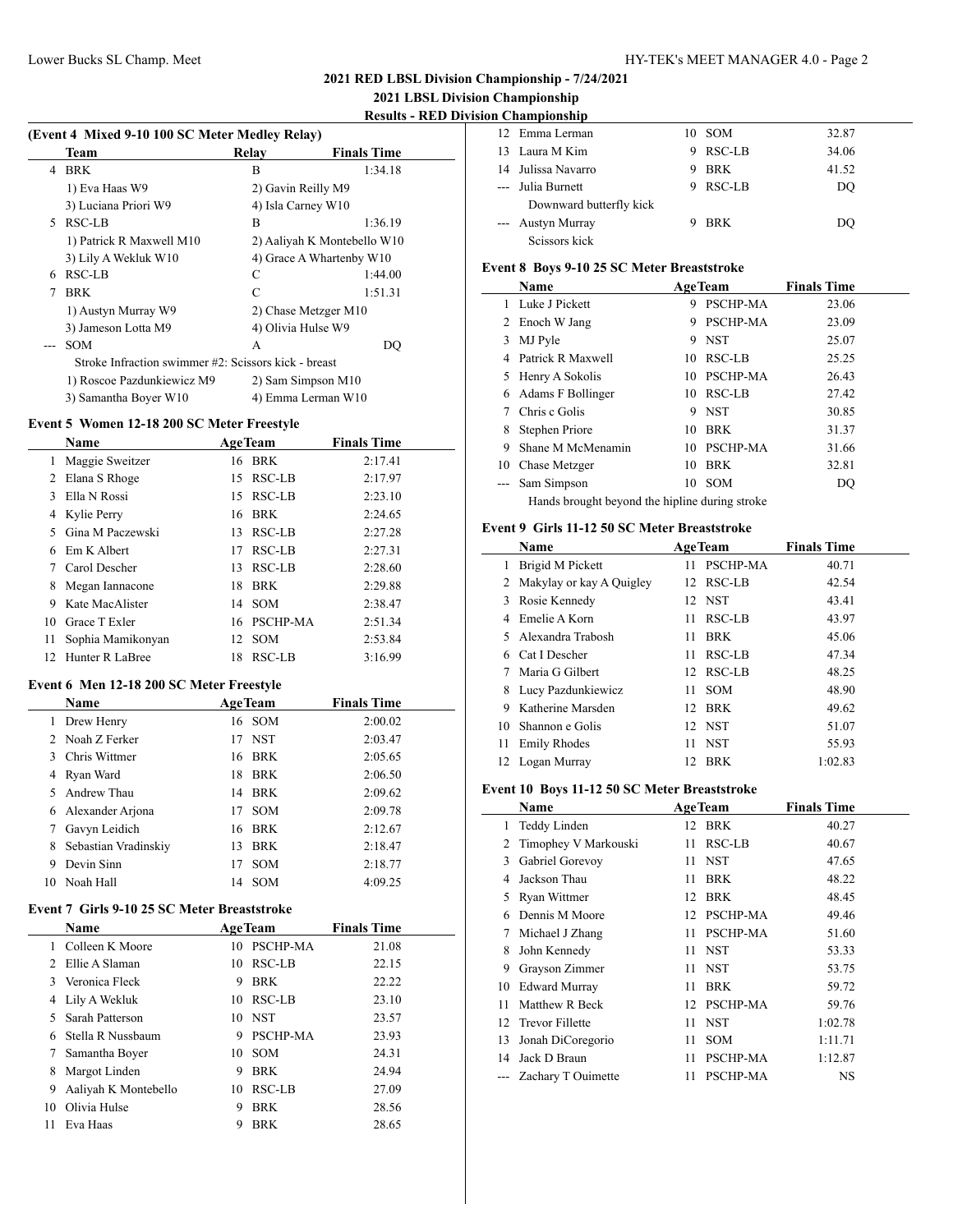l.

## Lower Bucks SL Champ. Meet HY-TEK's MEET MANAGER 4.0 - Page 2

## **2021 RED LBSL Division Championship - 7/24/2021**

# **2021 LBSL Division Championship**

 $\overline{\phantom{a}}$ 

# **Results - RED Division Championship**

## **(Event 4 Mixed 9-10 100 SC Meter Medley Relay)**

|    | Team                                                 | Relav | <b>Finals Time</b>          |
|----|------------------------------------------------------|-------|-----------------------------|
| 4  | <b>BRK</b>                                           | B     | 1:34.18                     |
|    | 1) Eva Haas W9                                       |       | 2) Gavin Reilly M9          |
|    | 3) Luciana Priori W9                                 |       | 4) Isla Carney W10          |
| 5. | RSC-LB                                               | B     | 1:36.19                     |
|    | 1) Patrick R Maxwell M10                             |       | 2) Aaliyah K Montebello W10 |
|    | 3) Lily A Wekluk W10                                 |       | 4) Grace A Whartenby W10    |
| 6  | RSC-LB                                               | C     | 1:44.00                     |
| 7  | <b>BRK</b>                                           | C     | 1:51.31                     |
|    | 1) Austyn Murray W9                                  |       | 2) Chase Metzger M10        |
|    | 3) Jameson Lotta M9                                  |       | 4) Olivia Hulse W9          |
|    | <b>SOM</b>                                           | А     | DO                          |
|    | Stroke Infraction swimmer #2: Scissors kick - breast |       |                             |
|    | 1) Roscoe Pazdunkiewicz M9                           |       | 2) Sam Simpson M10          |
|    | 3) Samantha Boyer W10                                |       | 4) Emma Lerman W10          |

#### **Event 5 Women 12-18 200 SC Meter Freestyle**

| <b>Name</b>       |             |            | <b>Finals Time</b>                                                                                         |
|-------------------|-------------|------------|------------------------------------------------------------------------------------------------------------|
| Maggie Sweitzer   |             |            | 2:17.41                                                                                                    |
| Elana S Rhoge     | 15.         |            | 2:17.97                                                                                                    |
| Ella N Rossi      |             |            | 2:23.10                                                                                                    |
|                   | 16          |            | 2:24.65                                                                                                    |
| Gina M Paczewski  | 13          |            | 2:27.28                                                                                                    |
| Em K Albert       | 17          | RSC-LB     | 2:27.31                                                                                                    |
| Carol Descher     | 13          | RSC-LB     | 2:28.60                                                                                                    |
| Megan Iannacone   | 18          |            | 2:29.88                                                                                                    |
| Kate MacAlister   |             | SOM        | 2:38.47                                                                                                    |
| Grace T Exler     |             |            | 2:51.34                                                                                                    |
| Sophia Mamikonyan | 12          | <b>SOM</b> | 2:53.84                                                                                                    |
| Hunter R LaBree   | 18          | RSC-LB     | 3:16.99                                                                                                    |
|                   | Kylie Perry |            | <b>AgeTeam</b><br>16 BRK<br>RSC-LB<br>15 RSC-LB<br><b>BRK</b><br>RSC-LB<br><b>BRK</b><br>14<br>16 PSCHP-MA |

## **Event 6 Men 12-18 200 SC Meter Freestyle**

|    | Name                 | <b>AgeTeam</b>   | <b>Finals Time</b> |
|----|----------------------|------------------|--------------------|
| 1  | Drew Henry           | 16 SOM           | 2:00.02            |
|    | 2. Noah Z Ferker     | 17 NST           | 2:03.47            |
| 3  | Chris Wittmer        | 16 BRK           | 2:05.65            |
| 4  | Ryan Ward            | BRK<br>18        | 2:06.50            |
| 5. | Andrew Thau          | 14 BRK           | 2:09.62            |
| 6  | Alexander Ariona     | 17 SOM           | 2:09.78            |
| 7  | Gavyn Leidich        | 16 BRK           | 2:12.67            |
| 8  | Sebastian Vradinskiy | <b>BRK</b><br>13 | 2:18.47            |
| 9  | Devin Sinn           | <b>SOM</b><br>17 | 2:18.77            |
|    | 10 Noah Hall         | 14 SOM           | 4:09.25            |

### **Event 7 Girls 9-10 25 SC Meter Breaststroke**

|     | <b>Name</b>          |    | <b>AgeTeam</b>  | <b>Finals Time</b> |
|-----|----------------------|----|-----------------|--------------------|
|     | Colleen K Moore      |    | 10 PSCHP-MA     | 21.08              |
|     | 2. Ellie A Slaman    |    | 10 RSC-LB       | 22.15              |
|     | 3 Veronica Fleck     | 9  | <b>BRK</b>      | 22.22              |
|     | Lily A Wekluk        | 10 | RSC-LB          | 23.10              |
|     | Sarah Patterson      |    | $10$ NST        | 23.57              |
|     | Stella R Nussbaum    | 9  | <b>PSCHP-MA</b> | 23.93              |
|     | Samantha Boyer       | 10 | <b>SOM</b>      | 24.31              |
| 8   | Margot Linden        | 9  | <b>BRK</b>      | 24.94              |
| 9   | Aaliyah K Montebello | 10 | RSC-LB          | 27.09              |
| 10  | Olivia Hulse         | 9  | <b>BRK</b>      | 28.56              |
| 11. | Eva Haas             | 9  | <b>BRK</b>      | 28.65              |

| л спашроплир            |   |          |       |
|-------------------------|---|----------|-------|
| 12 Emma Lerman          |   | $10$ SOM | 32.87 |
| 13 Laura M Kim          | 9 | RSC-LB   | 34.06 |
| 14 Julissa Navarro      | 9 | BRK      | 41.52 |
| --- Julia Burnett       | 9 | RSC-LB   | DO    |
| Downward butterfly kick |   |          |       |
| --- Austyn Murray       |   | BRK      | DO    |
| Scissors kick           |   |          |       |

#### **Event 8 Boys 9-10 25 SC Meter Breaststroke**

|    | Name                                           |    | <b>AgeTeam</b>  | <b>Finals Time</b> |  |  |  |
|----|------------------------------------------------|----|-----------------|--------------------|--|--|--|
| 1  | Luke J Pickett                                 | 9  | <b>PSCHP-MA</b> | 23.06              |  |  |  |
| 2  | Enoch W Jang                                   | 9  | <b>PSCHP-MA</b> | 23.09              |  |  |  |
| 3  | MJ Pyle                                        | 9  | <b>NST</b>      | 25.07              |  |  |  |
| 4  | Patrick R Maxwell                              | 10 | RSC-LB          | 25.25              |  |  |  |
| 5  | Henry A Sokolis                                |    | 10 PSCHP-MA     | 26.43              |  |  |  |
| 6  | Adams F Bollinger                              |    | 10 RSC-LB       | 27.42              |  |  |  |
|    | Chris c Golis                                  | 9  | <b>NST</b>      | 30.85              |  |  |  |
| 8  | Stephen Priore                                 | 10 | <b>BRK</b>      | 31.37              |  |  |  |
| 9  | Shane M McMenamin                              | 10 | <b>PSCHP-MA</b> | 31.66              |  |  |  |
| 10 | Chase Metzger                                  | 10 | <b>BRK</b>      | 32.81              |  |  |  |
|    | Sam Simpson                                    | 10 | <b>SOM</b>      | DO                 |  |  |  |
|    | Hands brought beyond the hipline during stroke |    |                 |                    |  |  |  |

#### **Event 9 Girls 11-12 50 SC Meter Breaststroke**

| Name |                            |     | <b>AgeTeam</b>  | <b>Finals Time</b> |
|------|----------------------------|-----|-----------------|--------------------|
| 1    | Brigid M Pickett           | 11  | <b>PSCHP-MA</b> | 40.71              |
|      | 2 Makylay or kay A Quigley |     | 12 RSC-LB       | 42.54              |
| 3    | Rosie Kennedy              |     | 12 NST          | 43.41              |
| 4    | Emelie A Korn              | 11  | RSC-LB          | 43.97              |
|      | 5 Alexandra Trabosh        | 11  | <b>BRK</b>      | 45.06              |
| 6    | Cat I Descher              | 11  | RSC-LB          | 47.34              |
|      | Maria G Gilbert            |     | 12 RSC-LB       | 48.25              |
| 8    | Lucy Pazdunkiewicz         | 11. | <b>SOM</b>      | 48.90              |
| 9    | Katherine Marsden          | 12  | BRK             | 49.62              |
| 10   | Shannon e Golis            |     | 12 NST          | 51.07              |
| 11   | <b>Emily Rhodes</b>        | 11  | <b>NST</b>      | 55.93              |
|      | 12 Logan Murray            | 12  | BRK             | 1:02.83            |

#### **Event 10 Boys 11-12 50 SC Meter Breaststroke**

| Name |                      |    | <b>AgeTeam</b>  | <b>Finals Time</b> |
|------|----------------------|----|-----------------|--------------------|
|      |                      |    |                 |                    |
| 1    | Teddy Linden         | 12 | BRK             | 40.27              |
| 2    | Timophey V Markouski | 11 | RSC-LB          | 40.67              |
| 3    | Gabriel Gorevoy      | 11 | <b>NST</b>      | 47.65              |
| 4    | Jackson Thau         | 11 | <b>BRK</b>      | 48.22              |
| 5    | Ryan Wittmer         | 12 | <b>BRK</b>      | 48.45              |
| 6    | Dennis M Moore       | 12 | PSCHP-MA        | 49.46              |
| 7    | Michael J Zhang      | 11 | PSCHP-MA        | 51.60              |
| 8    | John Kennedy         | 11 | <b>NST</b>      | 53.33              |
| 9    | Grayson Zimmer       | 11 | <b>NST</b>      | 53.75              |
| 10   | <b>Edward Murray</b> | 11 | <b>BRK</b>      | 59.72              |
| 11   | Matthew R Beck       | 12 | <b>PSCHP-MA</b> | 59.76              |
|      | 12 Trevor Fillette   | 11 | <b>NST</b>      | 1:02.78            |
| 13   | Jonah DiCoregorio    | 11 | SOM             | 1:11.71            |
| 14   | Jack D Braun         | 11 | PSCHP-MA        | 1:12.87            |
|      | Zachary T Ouimette   | 11 | <b>PSCHP-MA</b> | NS                 |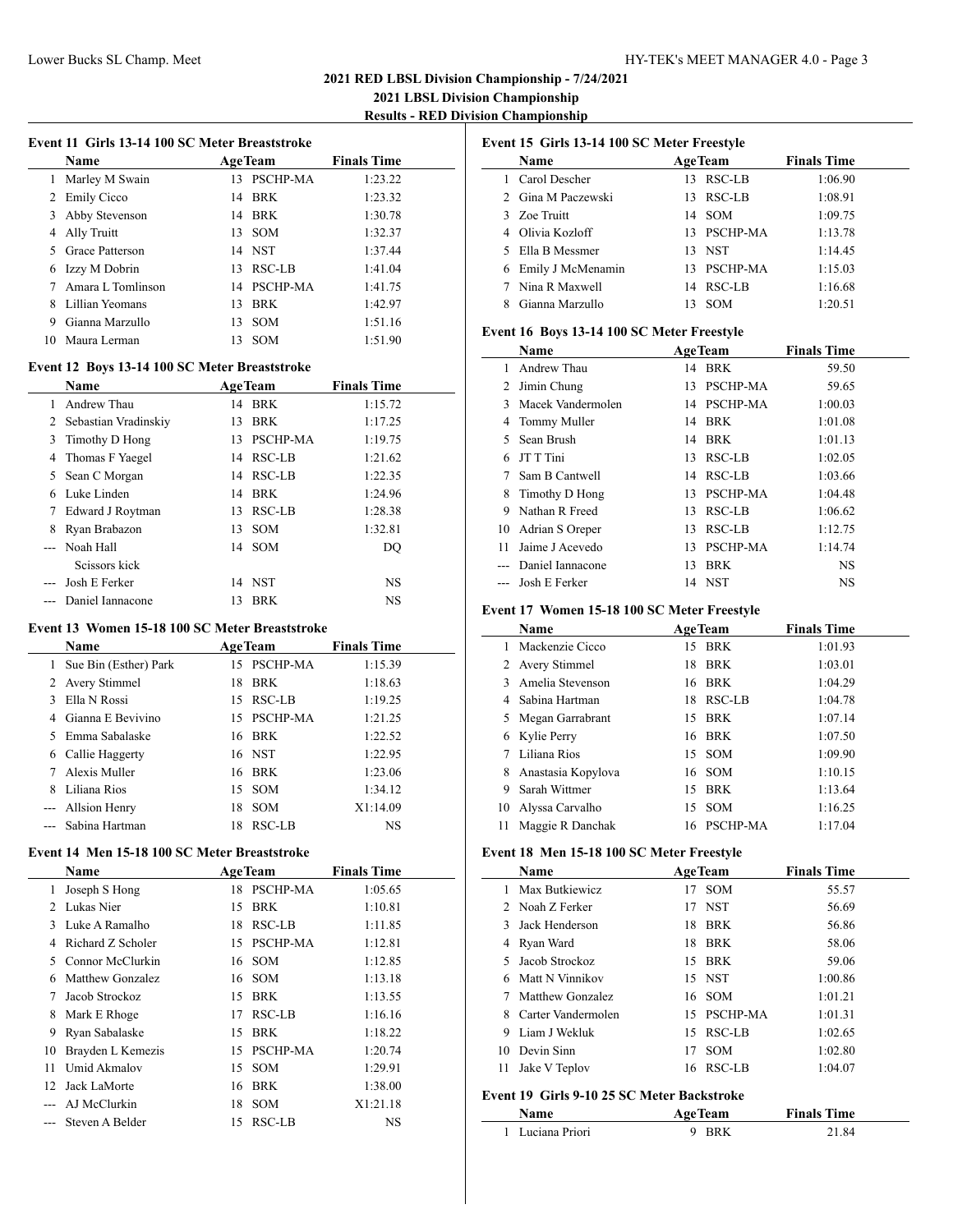**2021 LBSL Division Championship Results - RED Division Championship**

|  |  | Event 11 Girls 13-14 100 SC Meter Breaststroke |
|--|--|------------------------------------------------|
|  |  |                                                |

|   | <b>Name</b>       | <b>AgeTeam</b> |             | <b>Finals Time</b> |
|---|-------------------|----------------|-------------|--------------------|
| 1 | Marley M Swain    |                | 13 PSCHP-MA | 1:23.22            |
|   | 2 Emily Cicco     |                | 14 BRK      | 1:23.32            |
| 3 | Abby Stevenson    |                | 14 BRK      | 1:30.78            |
| 4 | Ally Truitt       |                | $13$ SOM    | 1:32.37            |
|   | 5 Grace Patterson |                | 14 NST      | 1:37.44            |
| 6 | Izzy M Dobrin     |                | 13 RSC-LB   | 1:41.04            |
|   | Amara L Tomlinson |                | 14 PSCHP-MA | 1:41.75            |
| 8 | Lillian Yeomans   | 13             | BRK         | 1:42.97            |
| 9 | Gianna Marzullo   |                | $13$ SOM    | 1:51.16            |
|   | Maura Lerman      | 13             | <b>SOM</b>  | 1:51.90            |

## **Event 12 Boys 13-14 100 SC Meter Breaststroke**

|   | <b>Name</b>            |    | <b>AgeTeam</b> | <b>Finals Time</b> |
|---|------------------------|----|----------------|--------------------|
|   | Andrew Thau            |    | 14 BRK         | 1:15.72            |
|   | 2 Sebastian Vradinskiy | 13 | BRK            | 1:17.25            |
|   | 3 Timothy D Hong       |    | 13 PSCHP-MA    | 1:19.75            |
|   | 4 Thomas F Yaegel      |    | 14 RSC-LB      | 1:21.62            |
|   | 5 Sean C Morgan        |    | 14 RSC-LB      | 1:22.35            |
| 6 | Luke Linden            |    | 14 BRK         | 1:24.96            |
|   | 7 Edward J Roytman     |    | 13 RSC-LB      | 1:28.38            |
| 8 | Ryan Brabazon          |    | $13$ SOM       | 1:32.81            |
|   | --- Noah Hall          |    | 14 SOM         | DO                 |
|   | Scissors kick          |    |                |                    |
|   | Josh E Ferker          |    | 14 NST         | <b>NS</b>          |
|   | Daniel Iannacone       | 13 | <b>BRK</b>     | <b>NS</b>          |

#### **Event 13 Women 15-18 100 SC Meter Breaststroke**

| <b>Name</b>   |                         |    | <b>AgeTeam</b> | <b>Finals Time</b> |  |
|---------------|-------------------------|----|----------------|--------------------|--|
|               | 1 Sue Bin (Esther) Park |    | 15 PSCHP-MA    | 1:15.39            |  |
|               | 2 Avery Stimmel         | 18 | <b>BRK</b>     | 1:18.63            |  |
| $\mathcal{F}$ | Ella N Rossi            |    | 15 RSC-LB      | 1:19.25            |  |
|               | 4 Gianna E Bevivino     |    | 15 PSCHP-MA    | 1:21.25            |  |
|               | Emma Sabalaske          |    | 16 BRK         | 1:22.52            |  |
| 6             | Callie Haggerty         |    | 16 NST         | 1:22.95            |  |
|               | Alexis Muller           |    | 16 BRK         | 1:23.06            |  |
| 8             | Liliana Rios            |    | $15$ SOM       | 1:34.12            |  |
|               | --- Allsion Henry       | 18 | <b>SOM</b>     | X1:14.09           |  |
|               | --- Sabina Hartman      | 18 | RSC-LB         | NS                 |  |

#### **Event 14 Men 15-18 100 SC Meter Breaststroke**

 $\overline{\phantom{a}}$ 

|                | Name              |    | <b>AgeTeam</b> | <b>Finals Time</b> |
|----------------|-------------------|----|----------------|--------------------|
| 1              | Joseph S Hong     |    | 18 PSCHP-MA    | 1:05.65            |
| $\mathfrak{D}$ | Lukas Nier        | 15 | BRK            | 1:10.81            |
| 3              | Luke A Ramalho    | 18 | RSC-LB         | 1:11.85            |
| 4              | Richard Z Scholer |    | 15 PSCHP-MA    | 1:12.81            |
| 5              | Connor McClurkin  |    | 16 SOM         | 1:12.85            |
| 6              | Matthew Gonzalez  |    | 16 SOM         | 1:13.18            |
| 7              | Jacob Strockoz    | 15 | <b>BRK</b>     | 1:13.55            |
| 8              | Mark E Rhoge      | 17 | RSC-LB         | 1:16.16            |
| 9              | Ryan Sabalaske    | 15 | BRK            | 1:18.22            |
| 10             | Brayden L Kemezis | 15 | PSCHP-MA       | 1:20.74            |
| 11             | Umid Akmalov      | 15 | SOM            | 1:29.91            |
| 12             | Jack LaMorte      | 16 | <b>BRK</b>     | 1:38.00            |
|                | AJ McClurkin      | 18 | <b>SOM</b>     | X1:21.18           |
|                | Steven A Belder   | 15 | RSC-LB         | NS                 |

| Event 15 Girls 13-14 100 SC Meter Freestyle |                                             |    |                |                    |  |
|---------------------------------------------|---------------------------------------------|----|----------------|--------------------|--|
|                                             | Name                                        |    | <b>AgeTeam</b> | <b>Finals Time</b> |  |
|                                             | 1 Carol Descher                             |    | 13 RSC-LB      | 1:06.90            |  |
|                                             | 2 Gina M Paczewski                          | 13 | RSC-LB         | 1:08.91            |  |
|                                             | 3 Zoe Truitt                                | 14 | SOM            | 1:09.75            |  |
|                                             | 4 Olivia Kozloff                            |    | 13 PSCHP-MA    | 1:13.78            |  |
|                                             | 5 Ella B Messmer                            |    | 13 NST         | 1:14.45            |  |
|                                             | 6 Emily J McMenamin                         |    | 13 PSCHP-MA    | 1:15.03            |  |
|                                             | 7 Nina R Maxwell                            |    | 14 RSC-LB      | 1:16.68            |  |
|                                             | 8 Gianna Marzullo                           |    | 13 SOM         | 1:20.51            |  |
|                                             | Event 16 Boys 13-14 100 SC Meter Freestyle  |    |                |                    |  |
|                                             | <b>Name</b>                                 |    | <b>AgeTeam</b> | <b>Finals Time</b> |  |
|                                             | 1 Andrew Thau                               |    | 14 BRK         | 59.50              |  |
|                                             | 2 Jimin Chung                               |    | 13 PSCHP-MA    | 59.65              |  |
|                                             | 3 Macek Vandermolen                         |    | 14 PSCHP-MA    | 1:00.03            |  |
|                                             | 4 Tommy Muller                              |    | 14 BRK         | 1:01.08            |  |
|                                             | 5 Sean Brush                                |    | 14 BRK         | 1:01.13            |  |
|                                             | 6 JT T Tini                                 |    | 13 RSC-LB      | 1:02.05            |  |
|                                             | 7 Sam B Cantwell                            |    | 14 RSC-LB      | 1:03.66            |  |
|                                             | 8 Timothy D Hong                            |    | 13 PSCHP-MA    | 1:04.48            |  |
|                                             | 9 Nathan R Freed                            |    | 13 RSC-LB      | 1:06.62            |  |
|                                             | 10 Adrian S Oreper                          |    | 13 RSC-LB      | 1:12.75            |  |
|                                             | 11 Jaime J Acevedo                          |    | 13 PSCHP-MA    | 1:14.74            |  |
|                                             | --- Daniel Jannacone                        |    | 13 BRK         | NS                 |  |
|                                             | --- Josh E Ferker                           |    | 14 NST         | NS                 |  |
|                                             | Event 17 Women 15-18 100 SC Meter Freestyle |    |                |                    |  |
|                                             | Name                                        |    | <b>AgeTeam</b> | <b>Finals Time</b> |  |
|                                             | 1 Mackenzie Cicco                           |    | 15 BRK         | 1:01.93            |  |
|                                             | 2 Avery Stimmel                             | 18 | <b>BRK</b>     | 1:03.01            |  |
|                                             | 3 Amelia Stevenson                          |    | 16 BRK         | 1:04.29            |  |
|                                             | 4 Sabina Hartman                            |    | 18 RSC-LB      | 1:04.78            |  |
|                                             | 5 Megan Garrabrant                          | 15 | <b>BRK</b>     | 1:07.14            |  |
|                                             | 6 Kylie Perry                               | 16 | <b>BRK</b>     | 1:07.50            |  |
|                                             | 7 Liliana Rios                              | 15 | SOM            | 1:09.90            |  |
| 8                                           | Anastasia Kopylova                          | 16 | SOM            | 1:10.15            |  |
| 9                                           | Sarah Wittmer                               | 15 | <b>BRK</b>     | 1:13.64            |  |

#### **Event 18 Men 15-18 100 SC Meter Freestyle**

|    | Name               |    | <b>AgeTeam</b> | <b>Finals Time</b> |
|----|--------------------|----|----------------|--------------------|
|    | Max Butkiewicz     |    | 17 SOM         | 55.57              |
|    | 2 Noah Z Ferker    |    | 17 NST         | 56.69              |
| 3  | Jack Henderson     |    | 18 BRK         | 56.86              |
| 4  | Ryan Ward          |    | 18 BRK         | 58.06              |
|    | 5 Jacob Strockoz   |    | 15 BRK         | 59.06              |
|    | 6 Matt N Vinnikov  |    | 15 NST         | 1:00.86            |
|    | Matthew Gonzalez   |    | 16 SOM         | 1:01.21            |
| 8. | Carter Vandermolen |    | 15 PSCHP-MA    | 1:01.31            |
| 9  | Liam J Wekluk      |    | 15 RSC-LB      | 1:02.65            |
|    | 10 Devin Sinn      | 17 | <b>SOM</b>     | 1:02.80            |
| 11 | Jake V Teplov      |    | 16 RSC-LB      | 1:04.07            |

 Alyssa Carvalho 15 SOM 1:16.25 Maggie R Danchak 16 PSCHP-MA 1:17.04

#### **Event 19 Girls 9-10 25 SC Meter Backstroke**

 $\sim$ 

| <b>Name</b>      | <b>AgeTeam</b> | <b>Finals Time</b> |  |
|------------------|----------------|--------------------|--|
| 1 Luciana Priori | <b>RRK</b>     | 21.84              |  |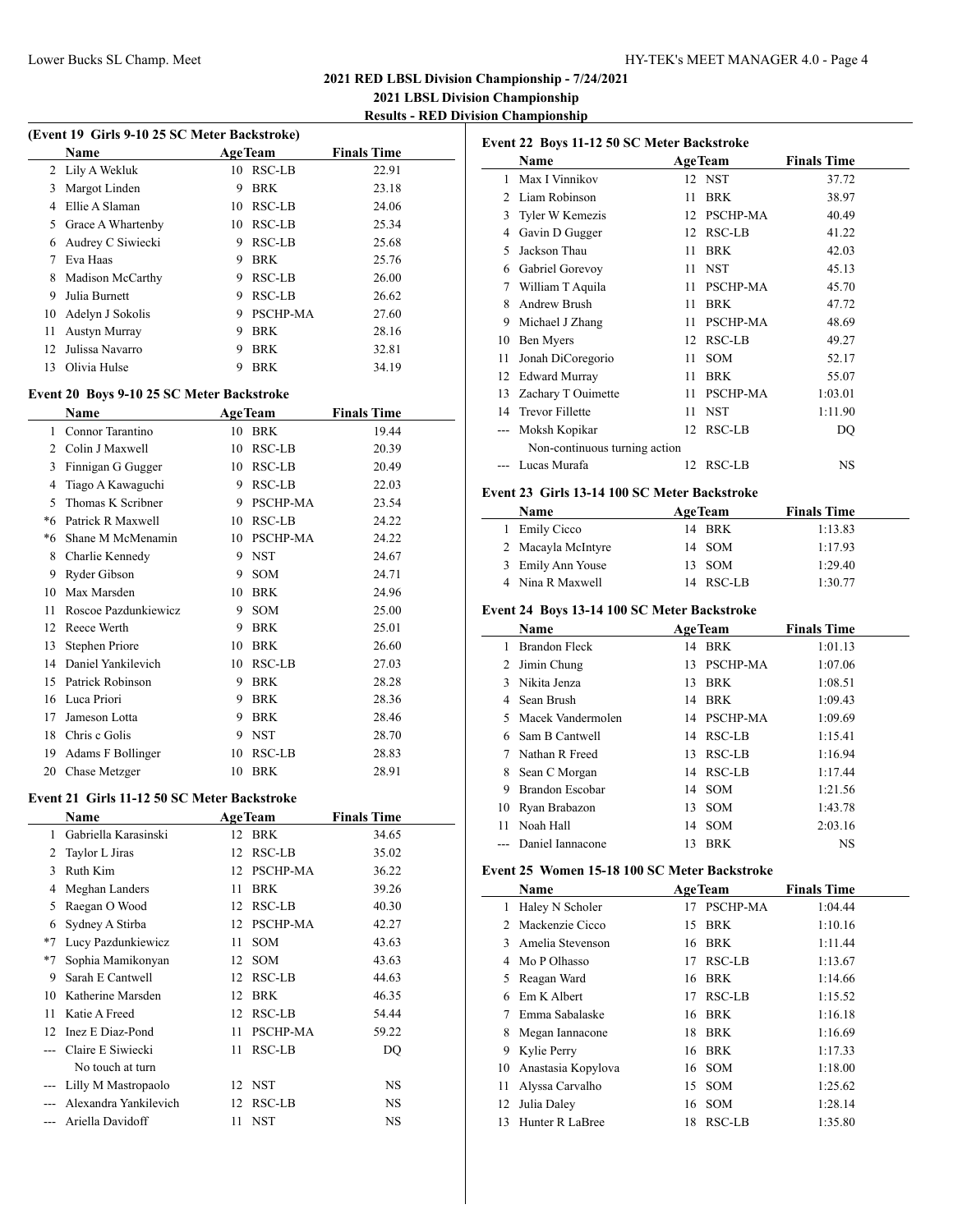**2021 LBSL Division Championship Results - RED Division Championship**

 $\overline{\phantom{a}}$ 

|  |  | (Event 19 Girls 9-10 25 SC Meter Backstroke) |
|--|--|----------------------------------------------|
|  |  |                                              |

|    | <b>Name</b>          | <b>AgeTeam</b> |                 | <b>Finals Time</b> |
|----|----------------------|----------------|-----------------|--------------------|
|    | 2 Lily A Wekluk      | 10             | RSC-LB          | 22.91              |
| 3  | Margot Linden        | 9              | <b>BRK</b>      | 23.18              |
| 4  | Ellie A Slaman       | 10             | RSC-LB          | 24.06              |
| 5  | Grace A Whartenby    | 10             | RSC-LB          | 25.34              |
| 6  | Audrey C Siwiecki    | 9              | RSC-LB          | 25.68              |
|    | Eva Haas             | 9              | <b>BRK</b>      | 25.76              |
| 8  | Madison McCarthy     | 9              | RSC-LB          | 26.00              |
| 9  | Julia Burnett        | 9              | RSC-LB          | 26.62              |
|    | 10 Adelyn J Sokolis  | 9              | <b>PSCHP-MA</b> | 27.60              |
| 11 | <b>Austyn Murray</b> | 9              | <b>BRK</b>      | 28.16              |
| 12 | Julissa Navarro      | 9              | <b>BRK</b>      | 32.81              |
| 13 | Olivia Hulse         | 9              | <b>BRK</b>      | 34.19              |

#### **Event 20 Boys 9-10 25 SC Meter Backstroke**

| Name |                      |    | <b>AgeTeam</b>  | <b>Finals Time</b> |
|------|----------------------|----|-----------------|--------------------|
| 1    | Connor Tarantino     | 10 | <b>BRK</b>      | 19.44              |
| 2    | Colin J Maxwell      | 10 | RSC-LB          | 20.39              |
| 3    | Finnigan G Gugger    | 10 | RSC-LB          | 20.49              |
| 4    | Tiago A Kawaguchi    | 9  | RSC-LB          | 22.03              |
| 5    | Thomas K Scribner    | 9  | <b>PSCHP-MA</b> | 23.54              |
| *6   | Patrick R Maxwell    | 10 | RSC-LB          | 24.22              |
| *6   | Shane M McMenamin    | 10 | <b>PSCHP-MA</b> | 24.22              |
| 8    | Charlie Kennedy      | 9  | <b>NST</b>      | 24.67              |
| 9    | Ryder Gibson         | 9  | SOM             | 24.71              |
| 10   | Max Marsden          | 10 | <b>BRK</b>      | 24.96              |
| 11   | Roscoe Pazdunkiewicz | 9  | <b>SOM</b>      | 25.00              |
| 12   | Reece Werth          | 9  | <b>BRK</b>      | 25.01              |
| 13   | Stephen Priore       | 10 | <b>BRK</b>      | 26.60              |
| 14   | Daniel Yankilevich   | 10 | RSC-LB          | 27.03              |
| 15   | Patrick Robinson     | 9  | <b>BRK</b>      | 28.28              |
| 16   | Luca Priori          | 9  | <b>BRK</b>      | 28.36              |
| 17   | Jameson Lotta        | 9  | <b>BRK</b>      | 28.46              |
| 18   | Chris c Golis        | 9  | <b>NST</b>      | 28.70              |
| 19   | Adams F Bollinger    | 10 | <b>RSC-LB</b>   | 28.83              |
| 20   | Chase Metzger        | 10 | <b>BRK</b>      | 28.91              |
|      |                      |    |                 |                    |

#### **Event 21 Girls 11-12 50 SC Meter Backstroke**

 $\overline{a}$ 

|                 | Name                  | <b>AgeTeam</b>   |                 | <b>Finals Time</b> |  |
|-----------------|-----------------------|------------------|-----------------|--------------------|--|
| 1               | Gabriella Karasinski  | <b>BRK</b><br>12 |                 | 34.65              |  |
| 2               | Taylor L Jiras        | 12               | RSC-LB          | 35.02              |  |
| 3               | Ruth Kim              | 12               | <b>PSCHP-MA</b> | 36.22              |  |
| 4               | Meghan Landers        | <b>BRK</b><br>11 |                 | 39.26              |  |
| 5               | Raegan O Wood         | 12               | RSC-LB          | 40.30              |  |
| 6               | Sydney A Stirba       | 12               | <b>PSCHP-MA</b> | 42.27              |  |
| $*7$            | Lucy Pazdunkiewicz    | <b>SOM</b><br>11 |                 | 43.63              |  |
| $*7$            | Sophia Mamikonyan     | <b>SOM</b><br>12 |                 | 43.63              |  |
| 9               | Sarah E Cantwell      | 12               | RSC-LB          | 44.63              |  |
| 10              | Katherine Marsden     | <b>BRK</b><br>12 |                 | 46.35              |  |
| 11              | Katie A Freed         | 12               | RSC-LB          | 54.44              |  |
| 12 <sup>1</sup> | Inez E Diaz-Pond      | 11               | PSCHP-MA        | 59.22              |  |
|                 | Claire E Siwiecki     | 11               | RSC-LB          | DQ                 |  |
|                 | No touch at turn      |                  |                 |                    |  |
|                 | Lilly M Mastropaolo   | 12 NST           |                 | NS                 |  |
|                 | Alexandra Yankilevich | 12               | RSC-LB          | NS                 |  |
|                 | Ariella Davidoff      | <b>NST</b><br>11 |                 | NS                 |  |

|                | Name                          |    | <b>AgeTeam</b>  | <b>Finals Time</b> |
|----------------|-------------------------------|----|-----------------|--------------------|
| 1              | Max I Vinnikov                |    | 12 NST          | 37.72              |
| $\mathfrak{D}$ | Liam Robinson                 | 11 | <b>BRK</b>      | 38.97              |
| 3              | Tyler W Kemezis               | 12 | <b>PSCHP-MA</b> | 40.49              |
| 4              | Gavin D Gugger                | 12 | RSC-LB          | 41.22              |
| 5              | Jackson Thau                  | 11 | <b>BRK</b>      | 42.03              |
| 6              | Gabriel Gorevoy               | 11 | <b>NST</b>      | 45.13              |
| 7              | William T Aquila              | 11 | <b>PSCHP-MA</b> | 45.70              |
| 8              | Andrew Brush                  | 11 | <b>BRK</b>      | 47.72              |
| 9              | Michael J Zhang               | 11 | PSCHP-MA        | 48.69              |
| 10             | Ben Myers                     | 12 | RSC-LB          | 49.27              |
| 11             | Jonah DiCoregorio             | 11 | <b>SOM</b>      | 52.17              |
| 12             | <b>Edward Murray</b>          | 11 | <b>BRK</b>      | 55.07              |
| 13             | Zachary T Ouimette            | 11 | <b>PSCHP-MA</b> | 1:03.01            |
| 14             | <b>Trevor Fillette</b>        | 11 | <b>NST</b>      | 1:11.90            |
|                | Moksh Kopikar                 | 12 | RSC-LB          | DO                 |
|                | Non-continuous turning action |    |                 |                    |
|                | Lucas Murafa                  | 12 | RSC-LB          | <b>NS</b>          |
|                |                               |    |                 |                    |

#### **Event 23 Girls 13-14 100 SC Meter Backstroke**

| <b>Name</b>        | <b>AgeTeam</b> | <b>Finals Time</b> |
|--------------------|----------------|--------------------|
| 1 Emily Cicco      | 14 BRK         | 1:13.83            |
| 2 Macayla McIntyre | 14 SOM         | 1:17.93            |
| 3 Emily Ann Youse  | 13 SOM         | 1:29.40            |
| 4 Nina R Maxwell   | 14 RSC-LB      | 1:30.77            |

#### **Event 24 Boys 13-14 100 SC Meter Backstroke**

|    | Name              | <b>AgeTeam</b> |                 | <b>Finals Time</b> |
|----|-------------------|----------------|-----------------|--------------------|
|    | Brandon Fleck     | 14             | BRK             | 1:01.13            |
|    | Jimin Chung       | 13             | <b>PSCHP-MA</b> | 1:07.06            |
| 3  | Nikita Jenza      | 13             | <b>BRK</b>      | 1:08.51            |
|    | Sean Brush        | 14             | <b>BRK</b>      | 1:09.43            |
|    | Macek Vandermolen |                | 14 PSCHP-MA     | 1:09.69            |
|    | Sam B Cantwell    |                | 14 RSC-LB       | 1:15.41            |
|    | Nathan R Freed    | 13.            | RSC-LB          | 1:16.94            |
| 8  | Sean C Morgan     |                | 14 RSC-LB       | 1:17.44            |
| 9  | Brandon Escobar   |                | 14 SOM          | 1:21.56            |
| 10 | Ryan Brabazon     | 13             | <b>SOM</b>      | 1:43.78            |
| 11 | Noah Hall         | 14             | <b>SOM</b>      | 2:03.16            |
|    | Daniel Iannacone  | 13             | <b>BRK</b>      | <b>NS</b>          |

#### **Event 25 Women 15-18 100 SC Meter Backstroke**

|    | Name               | <b>AgeTeam</b> |            | <b>Finals Time</b> |
|----|--------------------|----------------|------------|--------------------|
| 1  | Haley N Scholer    | 17             | PSCHP-MA   | 1:04.44            |
| 2  | Mackenzie Cicco    |                | 15 BRK     | 1:10.16            |
| 3  | Amelia Stevenson   | 16             | <b>BRK</b> | 1:11.44            |
| 4  | Mo P Olhasso       | 17             | RSC-LB     | 1:13.67            |
| 5  | Reagan Ward        |                | 16 BRK     | 1:14.66            |
| 6  | Em K Albert        | 17             | RSC-LB     | 1:15.52            |
|    | Emma Sabalaske     |                | 16 BRK     | 1:16.18            |
| 8  | Megan Iannacone    | 18             | <b>BRK</b> | 1:16.69            |
| 9. | Kylie Perry        |                | 16 BRK     | 1:17.33            |
| 10 | Anastasia Kopylova |                | 16 SOM     | 1:18.00            |
| 11 | Alyssa Carvalho    | 15             | SOM        | 1:25.62            |
| 12 | Julia Daley        |                | 16 SOM     | 1:28.14            |
| 13 | Hunter R LaBree    | 18             | RSC-LB     | 1:35.80            |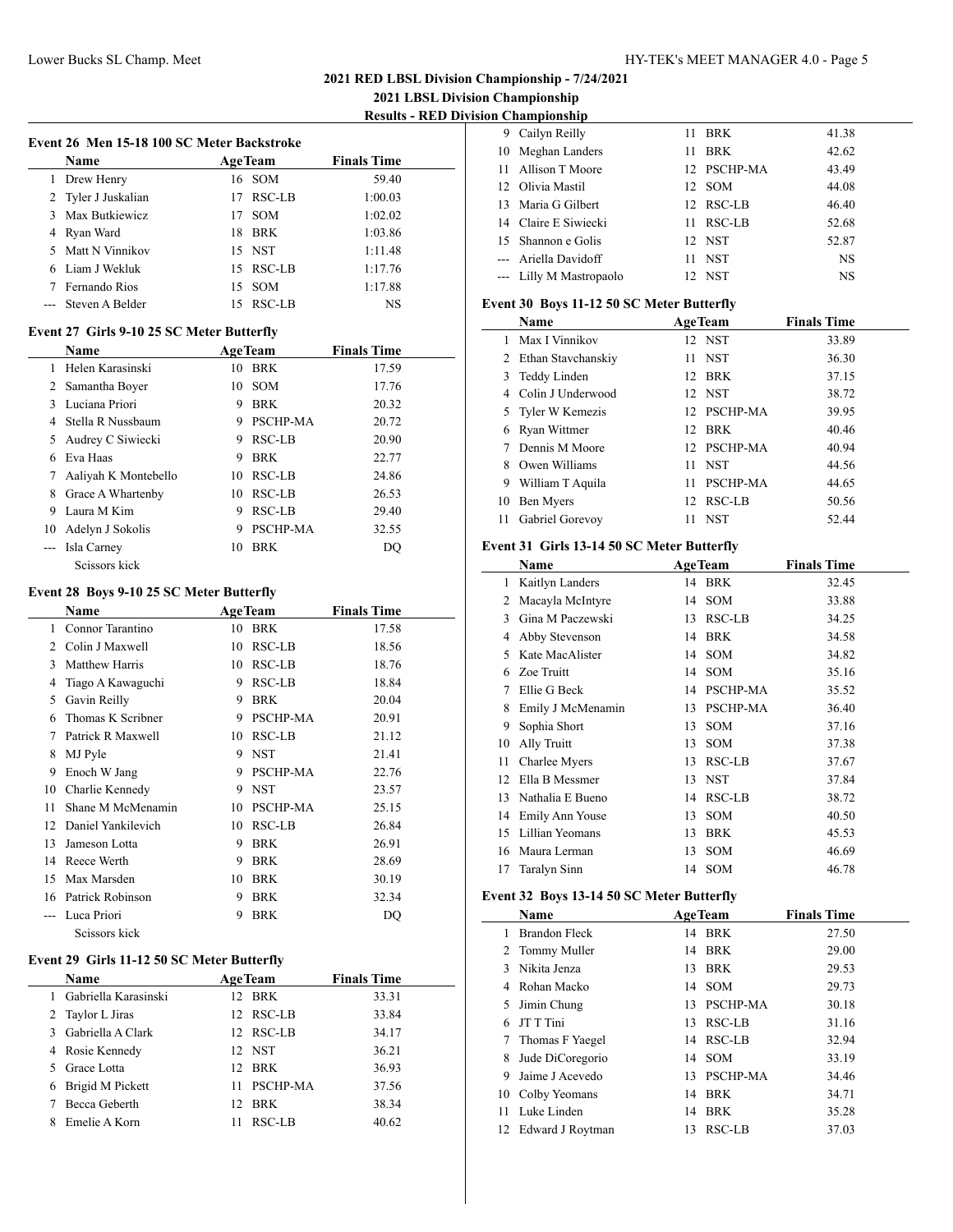$\overline{a}$ 

 $\frac{1}{2}$ 

l.

**2021 LBSL Division Championship Results - RED Division Championship**

| Event 26 Men 15-18 100 SC Meter Backstroke |                                            |    |                |                    |  |
|--------------------------------------------|--------------------------------------------|----|----------------|--------------------|--|
|                                            | <b>Name</b>                                |    | <b>AgeTeam</b> | <b>Finals Time</b> |  |
|                                            | 1 Drew Henry                               |    | 16 SOM         | 59.40              |  |
|                                            | 2 Tyler J Juskalian                        |    | 17 RSC-LB      | 1:00.03            |  |
|                                            | 3 Max Butkiewicz                           |    | 17 SOM         | 1:02.02            |  |
|                                            | 4 Ryan Ward                                |    | 18 BRK         | 1:03.86            |  |
|                                            | 5 Matt N Vinnikov                          |    | 15 NST         | 1:11.48            |  |
|                                            | 6 Liam J Wekluk                            |    | 15 RSC-LB      | 1:17.76            |  |
|                                            | 7 Fernando Rios                            |    | 15 SOM         | 1:17.88            |  |
|                                            | Steven A Belder                            |    | 15 RSC-LB      | NS                 |  |
|                                            |                                            |    |                |                    |  |
|                                            | Event 27 Girls 9-10 25 SC Meter Butterfly  |    |                |                    |  |
|                                            | Name                                       |    | <b>AgeTeam</b> | <b>Finals Time</b> |  |
|                                            | 1 Helen Karasinski                         |    | 10 BRK         | 17.59              |  |
|                                            | 2 Samantha Boyer                           |    | 10 SOM         | 17.76              |  |
|                                            | 3 Luciana Priori                           |    | 9 BRK          | 20.32              |  |
|                                            | 4 Stella R Nussbaum                        |    | 9 PSCHP-MA     | 20.72              |  |
|                                            | 5 Audrey C Siwiecki                        |    | 9 RSC-LB       | 20.90              |  |
|                                            | 6 Eva Haas                                 |    | 9 BRK          | 22.77              |  |
|                                            | 7 Aaliyah K Montebello                     |    | 10 RSC-LB      | 24.86              |  |
|                                            | 8 Grace A Whartenby                        |    | 10 RSC-LB      | 26.53              |  |
|                                            | 9 Laura M Kim                              |    | 9 RSC-LB       | 29.40              |  |
|                                            | 10 Adelyn J Sokolis                        |    | 9 PSCHP-MA     | 32.55              |  |
|                                            | --- Isla Carney                            |    | 10 BRK         | DQ                 |  |
|                                            | Seissors kick                              |    |                |                    |  |
|                                            | Event 28 Boys 9-10 25 SC Meter Butterfly   |    |                |                    |  |
|                                            | <b>Name</b>                                |    | <b>AgeTeam</b> | <b>Finals Time</b> |  |
|                                            | 1 Connor Tarantino                         |    | 10 BRK         | 17.58              |  |
|                                            | 2 Colin J Maxwell                          |    | 10 RSC-LB      | 18.56              |  |
|                                            | 3 Matthew Harris                           |    | 10 RSC-LB      |                    |  |
|                                            |                                            |    | 9 RSC-LB       | 18.76              |  |
|                                            | 4 Tiago A Kawaguchi                        |    |                | 18.84              |  |
|                                            | 5 Gavin Reilly                             |    | 9 BRK          | 20.04              |  |
| 6                                          | Thomas K Scribner                          |    | 9 PSCHP-MA     | 20.91              |  |
|                                            | 7 Patrick R Maxwell                        |    | 10 RSC-LB      | 21.12              |  |
| 8                                          | MJ Pyle                                    |    | 9 NST          | 21.41              |  |
|                                            | 9 Enoch W Jang                             |    | 9 PSCHP-MA     | 22.76              |  |
|                                            | 10 Charlie Kennedy                         |    | 9 NST          | 23.57              |  |
| 11                                         | Shane M McMenamin                          |    | 10 PSCHP-MA    | 25.15              |  |
|                                            | 12 Daniel Yankilevich                      |    | $10$ RSC-LB    | 26.84              |  |
|                                            | 13 Jameson Lotta                           |    | 9 BRK          | 26.91              |  |
|                                            | 14 Reece Werth                             | 9. | <b>BRK</b>     | 28.69              |  |
|                                            | 15 Max Marsden                             |    | 10 BRK         | 30.19              |  |
|                                            | 16 Patrick Robinson                        | 9  | <b>BRK</b>     | 32.34              |  |
|                                            | --- Luca Priori                            | 9  | <b>BRK</b>     | DQ                 |  |
|                                            | Scissors kick                              |    |                |                    |  |
|                                            | Event 29 Girls 11-12 50 SC Meter Butterfly |    |                |                    |  |
|                                            | Name                                       |    | <b>AgeTeam</b> | <b>Finals Time</b> |  |
| 1                                          | Gabriella Karasinski                       |    | 12 BRK         | 33.31              |  |
|                                            | $2.$ Taylor Lines                          |    | 12.00CID       | 2204               |  |

| 1 Gabriella Karasinski |    | 12 BRK      | 33.31 |
|------------------------|----|-------------|-------|
| 2 Taylor L Jiras       |    | 12 RSC-LB   | 33.84 |
| 3 Gabriella A Clark    |    | 12 RSC-LB   | 34.17 |
| 4 Rosie Kennedy        |    | 12 NST      | 36.21 |
| 5 Grace Lotta          |    | 12 BRK      | 36.93 |
| 6 Brigid M Pickett     |    | 11 PSCHP-MA | 37.56 |
| Becca Geberth          |    | 12 BRK      | 38.34 |
| 8 Emelie A Korn        | 11 | RSC-LB      | 40.62 |
|                        |    |             |       |

|     | 9 Cailyn Reilly         |    | 11 BRK      | 41.38     |
|-----|-------------------------|----|-------------|-----------|
|     | 10 Meghan Landers       | 11 | BRK         | 42.62     |
| 11. | Allison T Moore         |    | 12 PSCHP-MA | 43.49     |
|     | 12 Olivia Mastil        |    | 12 SOM      | 44.08     |
|     | 13 Maria G Gilbert      |    | 12 RSC-LB   | 46.40     |
|     | 14 Claire E Siwiecki    |    | 11 RSC-LB   | 52.68     |
|     | 15 Shannon e Golis      |    | 12 NST      | 52.87     |
|     | --- Ariella Davidoff    | 11 | <b>NST</b>  | <b>NS</b> |
|     | --- Lilly M Mastropaolo |    | 12 NST      | NS        |

#### **Event 30 Boys 11-12 50 SC Meter Butterfly**

|    | <b>Name</b>         | <b>AgeTeam</b> |                 | <b>Finals Time</b> |
|----|---------------------|----------------|-----------------|--------------------|
|    | Max I Vinnikov      |                | 12 NST          | 33.89              |
| 2  | Ethan Stavchanskiy  |                | 11 NST          | 36.30              |
|    | 3 Teddy Linden      |                | 12 BRK          | 37.15              |
|    | 4 Colin J Underwood |                | 12 NST          | 38.72              |
|    | 5 Tyler W Kemezis   |                | 12 PSCHP-MA     | 39.95              |
| 6  | Ryan Wittmer        |                | 12 BRK          | 40.46              |
|    | Dennis M Moore      |                | 12 PSCHP-MA     | 40.94              |
|    | Owen Williams       | 11             | <b>NST</b>      | 44.56              |
| 9  | William T Aquila    | 11             | <b>PSCHP-MA</b> | 44.65              |
| 10 | Ben Myers           |                | 12 RSC-LB       | 50.56              |
|    | 11 Gabriel Gorevoy  | 11             | NST             | 52.44              |

#### **Event 31 Girls 13-14 50 SC Meter Butterfly**

|    | Name              |    | <b>AgeTeam</b>  | <b>Finals Time</b> |
|----|-------------------|----|-----------------|--------------------|
| 1  | Kaitlyn Landers   |    | 14 BRK          | 32.45              |
| 2  | Macayla McIntyre  | 14 | <b>SOM</b>      | 33.88              |
| 3  | Gina M Paczewski  | 13 | RSC-LB          | 34.25              |
| 4  | Abby Stevenson    | 14 | BRK             | 34.58              |
| 5  | Kate MacAlister   |    | 14 SOM          | 34.82              |
| 6  | Zoe Truitt        | 14 | SOM             | 35.16              |
| 7  | Ellie G Beck      | 14 | PSCHP-MA        | 35.52              |
| 8  | Emily J McMenamin | 13 | <b>PSCHP-MA</b> | 36.40              |
| 9  | Sophia Short      | 13 | <b>SOM</b>      | 37.16              |
| 10 | Ally Truitt       | 13 | <b>SOM</b>      | 37.38              |
| 11 | Charlee Myers     | 13 | RSC-LB          | 37.67              |
| 12 | Ella B Messmer    | 13 | NST             | 37.84              |
| 13 | Nathalia E Bueno  | 14 | RSC-LB          | 38.72              |
| 14 | Emily Ann Youse   | 13 | <b>SOM</b>      | 40.50              |
| 15 | Lillian Yeomans   | 13 | <b>BRK</b>      | 45.53              |
| 16 | Maura Lerman      | 13 | <b>SOM</b>      | 46.69              |
| 17 | Taralyn Sinn      | 14 | SOM             | 46.78              |

## **Event 32 Boys 13-14 50 SC Meter Butterfly**

|    | <b>Name</b>      | <b>AgeTeam</b> |             | <b>Finals Time</b> |  |  |
|----|------------------|----------------|-------------|--------------------|--|--|
|    | Brandon Fleck    |                | 14 BRK      | 27.50              |  |  |
|    | 2 Tommy Muller   |                | 14 BRK      | 29.00              |  |  |
| 3  | Nikita Jenza     |                | 13 BRK      | 29.53              |  |  |
|    | 4 Rohan Macko    |                | 14 SOM      | 29.73              |  |  |
| 5. | Jimin Chung      |                | 13 PSCHP-MA | 30.18              |  |  |
| 6  | JT T Tini        |                | 13 RSC-LB   | 31.16              |  |  |
| 7  | Thomas F Yaegel  |                | 14 RSC-LB   | 32.94              |  |  |
| 8. | Jude DiCoregorio |                | 14 SOM      | 33.19              |  |  |
| 9  | Jaime J Acevedo  |                | 13 PSCHP-MA | 34.46              |  |  |
|    | 10 Colby Yeomans |                | 14 BRK      | 34.71              |  |  |
| 11 | Luke Linden      |                | 14 BRK      | 35.28              |  |  |
| 12 | Edward J Roytman |                | 13 RSC-LB   | 37.03              |  |  |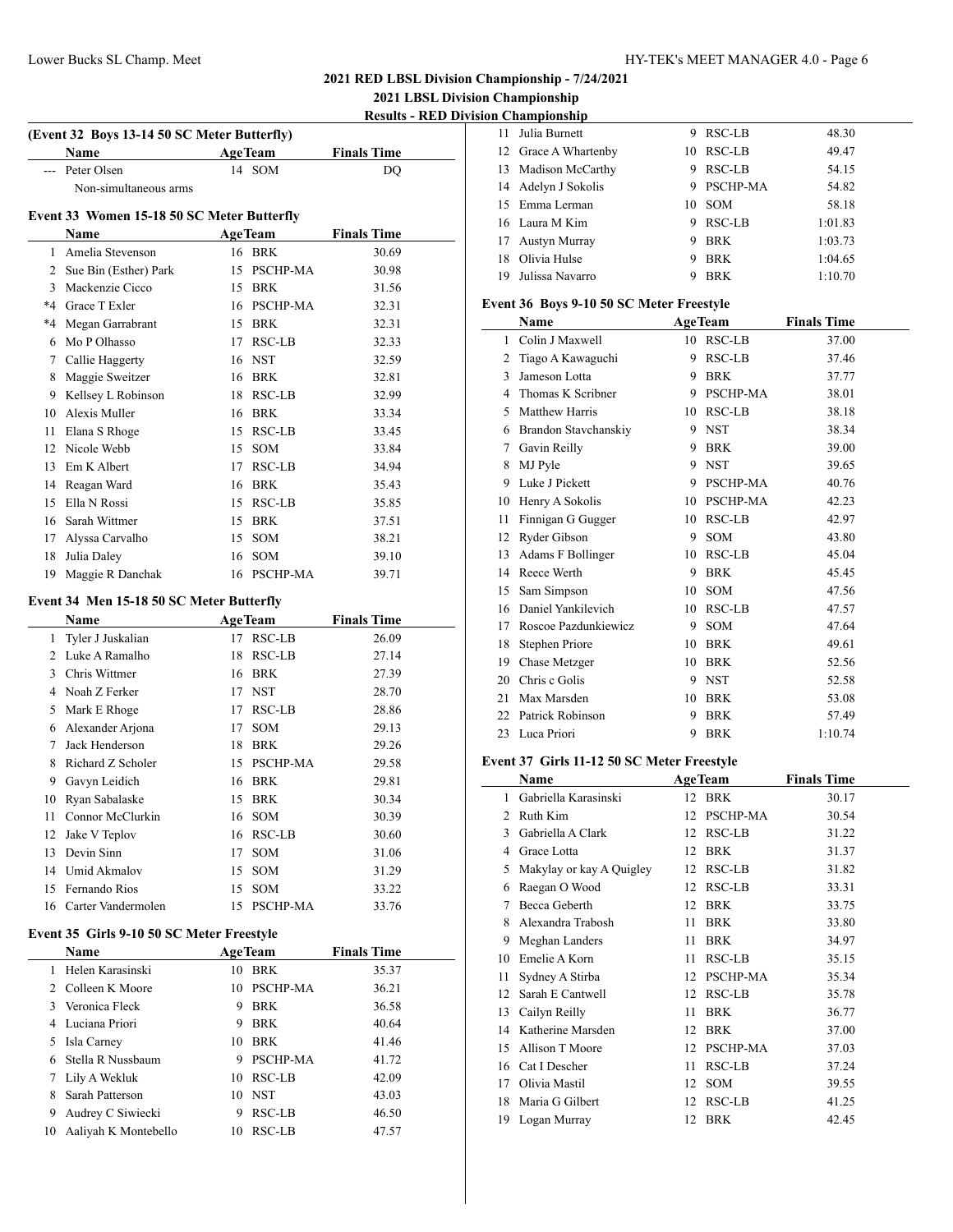## Lower Bucks SL Champ. Meet HY-TEK's MEET MANAGER 4.0 - Page 6

## **2021 RED LBSL Division Championship - 7/24/2021**

**2021 LBSL Division Championship**

|    |                                             |    |                |                    | 2021 LBSL DIVISION Championship            |                    |
|----|---------------------------------------------|----|----------------|--------------------|--------------------------------------------|--------------------|
|    |                                             |    |                |                    | <b>Results - RED Division Championship</b> |                    |
|    | (Event 32 Boys 13-14 50 SC Meter Butterfly) |    |                |                    |                                            | 11 Julia Burnett   |
|    | Name                                        |    | <b>AgeTeam</b> | <b>Finals Time</b> |                                            | 12 Grace A Whar    |
|    | --- Peter Olsen                             |    | 14 SOM         | DQ                 |                                            | 13 Madison McC     |
|    | Non-simultaneous arms                       |    |                |                    |                                            | 14 Adelyn J Soko   |
|    | Event 33 Women 15-18 50 SC Meter Butterfly  |    |                |                    |                                            | 15 Emma Lerma      |
|    | Name                                        |    | <b>AgeTeam</b> | <b>Finals Time</b> |                                            | 16 Laura M Kim     |
|    | 1 Amelia Stevenson                          |    | 16 BRK         | 30.69              | 17                                         | Austyn Murra       |
|    | 2 Sue Bin (Esther) Park                     |    | 15 PSCHP-MA    | 30.98              | 18                                         | Olivia Hulse       |
|    | 3 Mackenzie Cicco                           |    | 15 BRK         | 31.56              | 19                                         | Julissa Navarı     |
|    | *4 Grace T Exler                            |    | 16 PSCHP-MA    | 32.31              |                                            | Event 36 Boys 9-1  |
| *4 | Megan Garrabrant                            |    | 15 BRK         | 32.31              |                                            | Name               |
| 6  | Mo P Olhasso                                |    | 17 RSC-LB      | 32.33              |                                            | 1 Colin J Maxw     |
|    | 7 Callie Haggerty                           |    | 16 NST         | 32.59              |                                            | 2 Tiago A Kawa     |
|    | 8 Maggie Sweitzer                           |    | 16 BRK         | 32.81              |                                            | 3 Jameson Lotta    |
|    | 9 Kellsey L Robinson                        |    | 18 RSC-LB      | 32.99              |                                            | 4 Thomas K Sc      |
|    | 10 Alexis Muller                            |    | 16 BRK         | 33.34              |                                            | 5 Matthew Harr     |
|    | 11 Elana S Rhoge                            |    | 15 RSC-LB      | 33.45              |                                            | 6 Brandon Stav     |
|    | 12 Nicole Webb                              |    | 15 SOM         | 33.84              | 7                                          | Gavin Reilly       |
|    | 13 Em K Albert                              |    | 17 RSC-LB      | 34.94              | 8                                          | MJ Pyle            |
|    | 14 Reagan Ward                              |    | 16 BRK         | 35.43              | 9                                          | Luke J Picket      |
|    | 15 Ella N Rossi                             |    | 15 RSC-LB      | 35.85              |                                            | 10 Henry A Soko    |
|    | 16 Sarah Wittmer                            |    | 15 BRK         | 37.51              | 11                                         | Finnigan G G       |
| 17 | Alyssa Carvalho                             |    | 15 SOM         | 38.21              | 12                                         | Ryder Gibson       |
| 18 | Julia Daley                                 |    | 16 SOM         | 39.10              | 13                                         | Adams F Boll       |
|    | 19 Maggie R Danchak                         |    | 16 PSCHP-MA    | 39.71              |                                            | 14 Reece Werth     |
|    |                                             |    |                |                    |                                            | 15 Sam Simpson     |
|    | Event 34 Men 15-18 50 SC Meter Butterfly    |    |                |                    |                                            | 16 Daniel Yankil   |
|    | Name                                        |    | <b>AgeTeam</b> | <b>Finals Time</b> | 17                                         | Roscoe Pazdu       |
|    | 1 Tyler J Juskalian                         |    | 17 RSC-LB      | 26.09              | 18                                         | Stephen Prior      |
|    | 2 Luke A Ramalho                            |    | 18 RSC-LB      | 27.14              | 19                                         | Chase Metzge       |
|    | 3 Chris Wittmer                             |    | 16 BRK         | 27.39              | 20                                         | Chris c Golis      |
|    | 4 Noah Z Ferker                             |    | 17 NST         | 28.70              |                                            | 21 Max Marsden     |
| 5  | Mark E Rhoge                                |    | 17 RSC-LB      | 28.86              |                                            | 22 Patrick Robin   |
|    | 6 Alexander Arjona                          | 17 | <b>SOM</b>     | 29.13              |                                            | 23 Luca Priori     |
| 7  | Jack Henderson                              |    | 18 BRK         | 29.26              |                                            |                    |
| 8  | Richard Z Scholer                           |    | 15 PSCHP-MA    | 29.58              |                                            | Event 37 Girls 11. |
| 9  | Gavyn Leidich                               |    | 16 BRK         | 29.81              |                                            | Name               |
| 10 | Ryan Sabalaske                              |    | 15 BRK         | 30.34              | 1                                          | Gabriella Kar      |
| 11 | Connor McClurkin                            |    | 16 SOM         | 30.39              |                                            | 2 Ruth Kim         |
|    | 12 Jake V Teplov                            |    | 16 RSC-LB      | 30.60              | 3                                          | Gabriella A C      |
|    | 13 Devin Sinn                               |    | 17 SOM         | 31.06              |                                            | 4 Grace Lotta      |
|    | 14 Umid Akmalov                             |    | 15 SOM         | 31.29              |                                            | 5 Makylay or ka    |
|    | 15 Fernando Rios                            |    | 15 SOM         | 33.22              | 6                                          | Raegan O Wo        |
|    | 16 Carter Vandermolen                       |    | 15 PSCHP-MA    | 33.76              | 7                                          | Becca Gebert       |
|    | Event 35 Girls 9-10 50 SC Meter Freestyle   |    |                |                    | 8                                          | Alexandra Tra      |
|    | Name                                        |    | <b>AgeTeam</b> | <b>Finals Time</b> | 9                                          | Meghan Land        |
|    | 1 Helen Karasinski                          |    | 10 BRK         | 35.37              | 10                                         | Emelie A Kor       |
|    | 2 Colleen K Moore                           |    | 10 PSCHP-MA    | 36.21              | 11                                         | Sydney A Stir      |
|    | 3 Veronica Fleck                            | 9. | <b>BRK</b>     | 36.58              | 12                                         | Sarah E Canty      |
|    | 4 Luciana Priori                            | 9  | <b>BRK</b>     | 40.64              |                                            | 13 Cailyn Reilly   |
| 5  | Isla Carney                                 |    | 10 BRK         | 41.46              |                                            | 14 Katherine Ma    |
| 6  | Stella R Nussbaum                           |    | 9 PSCHP-MA     | 41.72              |                                            | 15 Allison T Mo    |
| 7  | Lily A Wekluk                               |    | 10 RSC-LB      | 42.09              |                                            | 16 Cat I Descher   |
| 8  | Sarah Patterson                             |    | 10 NST         | 43.03              |                                            | 17 Olivia Mastil   |
| 9  | Audrey C Siwiecki                           | 9  | RSC-LB         | 46.50              | 18                                         | Maria G Gilb       |
|    | 10 Aaliyah K Montebello                     |    | 10 RSC-LB      | 47.57              |                                            | 19 Logan Murray    |
|    |                                             |    |                |                    |                                            |                    |

| 11             | Julia Burnett                              | 9 | RSC-LB         | 48.30              |  |
|----------------|--------------------------------------------|---|----------------|--------------------|--|
| 12             | Grace A Whartenby                          |   | 10 RSC-LB      | 49.47              |  |
|                | 13 Madison McCarthy                        |   | 9 RSC-LB       | 54.15              |  |
|                | 14 Adelyn J Sokolis                        |   | 9 PSCHP-MA     | 54.82              |  |
|                | 15 Emma Lerman                             |   | 10 SOM         | 58.18              |  |
|                | 16 Laura M Kim                             |   | 9 RSC-LB       | 1:01.83            |  |
|                | 17 Austyn Murray                           |   | 9 BRK          | 1:03.73            |  |
|                | 18 Olivia Hulse                            |   | 9 BRK          | 1:04.65            |  |
|                | 19 Julissa Navarro                         | 9 | <b>BRK</b>     | 1:10.70            |  |
|                | Event 36 Boys 9-10 50 SC Meter Freestyle   |   |                |                    |  |
|                | Name                                       |   | <b>AgeTeam</b> | <b>Finals Time</b> |  |
| 1              | Colin J Maxwell                            |   | 10 RSC-LB      | 37.00              |  |
| 2              | Tiago A Kawaguchi                          |   | 9 RSC-LB       | 37.46              |  |
| 3              | Jameson Lotta                              |   | 9 BRK          | 37.77              |  |
|                | 4 Thomas K Scribner                        |   | 9 PSCHP-MA     | 38.01              |  |
|                | 5 Matthew Harris                           |   | 10 RSC-LB      | 38.18              |  |
|                | 6 Brandon Stavchanskiy                     |   | 9 NST          | 38.34              |  |
| $\tau$         | Gavin Reilly                               |   | 9 BRK          | 39.00              |  |
| 8              | MJ Pyle                                    |   | 9 NST          | 39.65              |  |
| 9              | Luke J Pickett                             |   | 9 PSCHP-MA     | 40.76              |  |
| 10             | Henry A Sokolis                            |   | 10 PSCHP-MA    | 42.23              |  |
| 11             | Finnigan G Gugger                          |   | 10 RSC-LB      | 42.97              |  |
|                | 12 Ryder Gibson                            |   | 9 SOM          | 43.80              |  |
| 13             | Adams F Bollinger                          |   | 10 RSC-LB      | 45.04              |  |
|                | 14 Reece Werth                             |   | 9 BRK          | 45.45              |  |
|                | 15 Sam Simpson                             |   | $10$ SOM       | 47.56              |  |
|                | 16 Daniel Yankilevich                      |   | 10 RSC-LB      | 47.57              |  |
| 17             | Roscoe Pazdunkiewicz                       |   | 9 SOM          | 47.64              |  |
| 18             | Stephen Priore                             |   | 10 BRK         | 49.61              |  |
| 19             | Chase Metzger                              |   | 10 BRK         | 52.56              |  |
| 20             | Chris c Golis                              |   | 9 NST          | 52.58              |  |
| 21             | Max Marsden                                |   | 10 BRK         | 53.08              |  |
|                | 22 Patrick Robinson                        |   | 9 BRK          | 57.49              |  |
|                | 23 Luca Priori                             | 9 | BRK            | 1:10.74            |  |
|                | Event 37 Girls 11-12 50 SC Meter Freestyle |   |                |                    |  |
|                | Name                                       |   | <b>AgeTeam</b> | <b>Finals Time</b> |  |
| $\mathbf{1}$   | Gabriella Karasinski                       |   | 12 BRK         | 30.17              |  |
| $\overline{c}$ | Ruth Kim                                   |   | 12 PSCHP-MA    | 30.54              |  |
| 3              | Gabriella A Clark                          |   | 12 RSC-LB      | 31.22              |  |

| $\mathfrak{D}$ | Ruth Kim                 |    | 12 PSCHP-MA     | 30.54 |
|----------------|--------------------------|----|-----------------|-------|
| 3              | Gabriella A Clark        | 12 | RSC-LB          | 31.22 |
| 4              | Grace Lotta              | 12 | <b>BRK</b>      | 31.37 |
| 5              | Makylay or kay A Quigley | 12 | RSC-LB          | 31.82 |
| 6              | Raegan O Wood            | 12 | RSC-LB          | 33.31 |
| 7              | Becca Geberth            | 12 | <b>BRK</b>      | 33.75 |
| 8              | Alexandra Trabosh        | 11 | <b>BRK</b>      | 33.80 |
| 9              | Meghan Landers           | 11 | <b>BRK</b>      | 34.97 |
| 10             | Emelie A Korn            | 11 | RSC-LB          | 35.15 |
| 11             | Sydney A Stirba          | 12 | <b>PSCHP-MA</b> | 35.34 |
| 12             | Sarah E Cantwell         | 12 | RSC-LB          | 35.78 |
| 13             | Cailyn Reilly            | 11 | <b>BRK</b>      | 36.77 |
| 14             | Katherine Marsden        | 12 | <b>BRK</b>      | 37.00 |
| 15             | Allison T Moore          | 12 | <b>PSCHP-MA</b> | 37.03 |
| 16             | Cat I Descher            | 11 | RSC-LB          | 37.24 |
| 17             | Olivia Mastil            | 12 | <b>SOM</b>      | 39.55 |
| 18             | Maria G Gilbert          | 12 | RSC-LB          | 41.25 |
| 19.            | Logan Murray             | 12 | <b>BRK</b>      | 42.45 |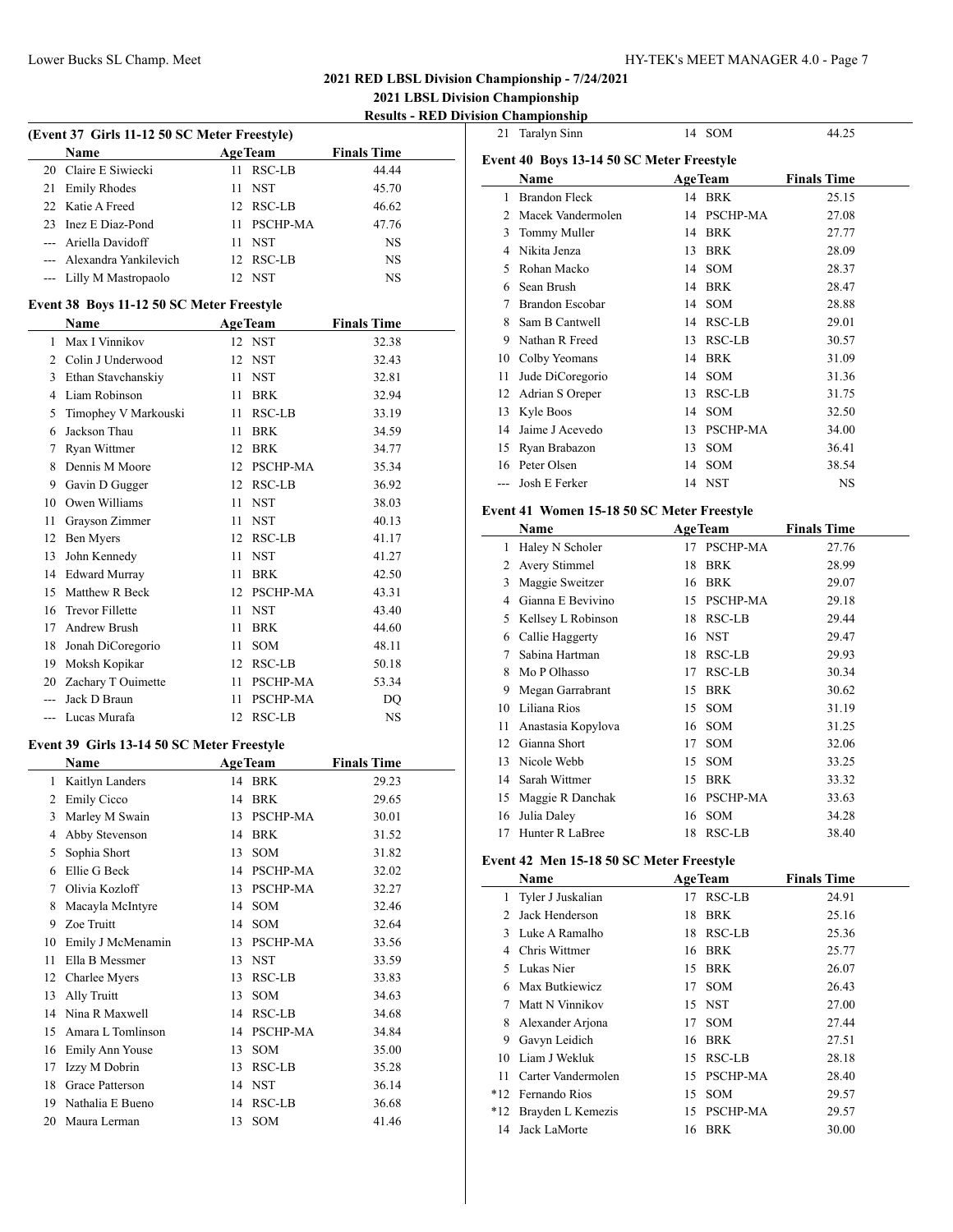**2021 LBSL Division Championship Results - RED Division Championship**

| (Event 37 Girls 11-12 50 SC Meter Freestyle) |                                            |      |                 |                    |  |  |
|----------------------------------------------|--------------------------------------------|------|-----------------|--------------------|--|--|
|                                              | Name                                       |      | <b>AgeTeam</b>  | <b>Finals Time</b> |  |  |
|                                              | 20 Claire E Siwiecki                       | 11   | RSC-LB          | 44.44              |  |  |
| 21                                           | <b>Emily Rhodes</b>                        | 11   | <b>NST</b>      | 45.70              |  |  |
|                                              | 22 Katie A Freed                           |      | 12 RSC-LB       | 46.62              |  |  |
|                                              | 23 Inez E Diaz-Pond                        |      | 11 PSCHP-MA     | 47.76              |  |  |
|                                              | --- Ariella Davidoff                       |      | 11 NST          | NS                 |  |  |
|                                              | --- Alexandra Yankilevich                  |      | 12 RSC-LB       | <b>NS</b>          |  |  |
| $---$                                        | Lilly M Mastropaolo                        |      | 12 NST          | NS                 |  |  |
|                                              | Event 38 Boys 11-12 50 SC Meter Freestyle  |      |                 |                    |  |  |
|                                              | Name                                       |      | <b>AgeTeam</b>  | <b>Finals Time</b> |  |  |
| 1                                            | Max I Vinnikov                             |      | 12 NST          | 32.38              |  |  |
|                                              | 2 Colin J Underwood                        |      | 12 NST          | 32.43              |  |  |
|                                              | 3 Ethan Stavchanskiy                       |      | 11 NST          | 32.81              |  |  |
|                                              | 4 Liam Robinson                            |      | 11 BRK          | 32.94              |  |  |
|                                              | 5 Timophey V Markouski                     |      | 11 RSC-LB       | 33.19              |  |  |
|                                              | 6 Jackson Thau                             |      | 11 BRK          | 34.59              |  |  |
| 7                                            | Ryan Wittmer                               |      | 12 BRK          | 34.77              |  |  |
|                                              | 8 Dennis M Moore                           |      | 12 PSCHP-MA     | 35.34              |  |  |
| 9                                            | Gavin D Gugger                             |      | 12 RSC-LB       | 36.92              |  |  |
|                                              | 10 Owen Williams                           |      | 11 NST          | 38.03              |  |  |
| 11                                           | Grayson Zimmer                             |      | 11 NST          | 40.13              |  |  |
|                                              | 12 Ben Myers                               |      | 12 RSC-LB       | 41.17              |  |  |
| 13                                           | John Kennedy                               |      | 11 NST          | 41.27              |  |  |
|                                              | 14 Edward Murray                           |      | 11 BRK          | 42.50              |  |  |
|                                              | 15 Matthew R Beck                          |      | 12 PSCHP-MA     | 43.31              |  |  |
|                                              | 16 Trevor Fillette                         |      | 11 NST          | 43.40              |  |  |
|                                              | 17 Andrew Brush                            |      | 11 BRK          | 44.60              |  |  |
| 18                                           | Jonah DiCoregorio                          |      | 11 SOM          | 48.11              |  |  |
|                                              | 19 Moksh Kopikar                           |      | 12 RSC-LB       | 50.18              |  |  |
|                                              | 20 Zachary T Ouimette                      |      | 11 PSCHP-MA     | 53.34              |  |  |
| ---                                          | Jack D Braun                               | 11 - | PSCHP-MA        | DQ                 |  |  |
|                                              | --- Lucas Murafa                           |      | 12 RSC-LB       | $_{\rm NS}$        |  |  |
|                                              |                                            |      |                 |                    |  |  |
|                                              | Event 39 Girls 13-14 50 SC Meter Freestyle |      |                 |                    |  |  |
|                                              | Name                                       |      | <b>AgeTeam</b>  | <b>Finals Time</b> |  |  |
|                                              | 1 Kaitlyn Landers                          |      | 14 BRK          | 29.23              |  |  |
| $\overline{2}$                               | Emily Cicco                                |      | 14 BRK          | 29.65              |  |  |
| 3                                            | Marley M Swain                             | 13   | <b>PSCHP-MA</b> | 30.01              |  |  |
|                                              | 4 Abby Stevenson                           |      | 14 BRK          | 31.52              |  |  |
|                                              | 5 Sophia Short                             | 13   | SOM             | 31.82              |  |  |
|                                              | 6 Ellie G Beck                             |      | 14 PSCHP-MA     | 32.02              |  |  |
| 7                                            | Olivia Kozloff                             |      | 13 PSCHP-MA     | 32.27              |  |  |
| 8                                            | Macayla McIntyre                           |      | 14 SOM          | 32.46              |  |  |
| 9                                            | Zoe Truitt                                 |      | 14 SOM          | 32.64              |  |  |
| 10                                           | Emily J McMenamin                          |      | 13 PSCHP-MA     | 33.56              |  |  |
| 11                                           | Ella B Messmer                             |      | 13 NST          | 33.59              |  |  |
| 12                                           | Charlee Myers                              |      | 13 RSC-LB       | 33.83              |  |  |
| 13                                           | Ally Truitt                                | 13   | SOM             | 34.63              |  |  |
|                                              | 14 Nina R Maxwell                          |      | 14 RSC-LB       | 34.68              |  |  |
| 15                                           | Amara L Tomlinson                          |      | 14 PSCHP-MA     | 34.84              |  |  |
|                                              | 16 Emily Ann Youse                         |      | 13 SOM          | 35.00              |  |  |
|                                              | 17 Izzy M Dobrin                           |      | 13 RSC-LB       | 35.28              |  |  |
|                                              | 18 Grace Patterson                         |      | 14 NST          | 36.14              |  |  |
|                                              | 19 Nathalia E Bueno                        |      | 14 RSC-LB       | 36.68              |  |  |
| 20                                           | Maura Lerman                               | 13   | SOM             | 41.46              |  |  |

| 21           | Taralyn Sinn                               |    | 14 SOM         | 44.25              |  |  |  |  |  |
|--------------|--------------------------------------------|----|----------------|--------------------|--|--|--|--|--|
|              | Event 40 Boys 13-14 50 SC Meter Freestyle  |    |                |                    |  |  |  |  |  |
|              | Name                                       |    | <b>AgeTeam</b> | <b>Finals Time</b> |  |  |  |  |  |
|              | 1 Brandon Fleck                            |    | 14 BRK         | 25.15              |  |  |  |  |  |
|              | 2 Macek Vandermolen                        |    | 14 PSCHP-MA    | 27.08              |  |  |  |  |  |
|              | 3 Tommy Muller                             |    | 14 BRK         | 27.77              |  |  |  |  |  |
|              | 4 Nikita Jenza                             |    |                |                    |  |  |  |  |  |
|              |                                            |    | 13 BRK         | 28.09              |  |  |  |  |  |
|              | 5 Rohan Macko                              |    | 14 SOM         | 28.37              |  |  |  |  |  |
|              | 6 Sean Brush                               |    | 14 BRK         | 28.47              |  |  |  |  |  |
|              | 7 Brandon Escobar                          |    | 14 SOM         | 28.88              |  |  |  |  |  |
|              | 8 Sam B Cantwell                           |    | 14 RSC-LB      | 29.01              |  |  |  |  |  |
|              | 9 Nathan R Freed                           |    | 13 RSC-LB      | 30.57              |  |  |  |  |  |
|              | 10 Colby Yeomans                           |    | 14 BRK         | 31.09              |  |  |  |  |  |
|              | 11 Jude DiCoregorio                        |    | 14 SOM         | 31.36              |  |  |  |  |  |
|              | 12 Adrian S Oreper                         |    | 13 RSC-LB      | 31.75              |  |  |  |  |  |
|              | 13 Kyle Boos                               |    | 14 SOM         | 32.50              |  |  |  |  |  |
|              | 14 Jaime J Acevedo                         |    | 13 PSCHP-MA    | 34.00              |  |  |  |  |  |
|              | 15 Ryan Brabazon                           |    | 13 SOM         | 36.41              |  |  |  |  |  |
|              | 16 Peter Olsen                             |    | 14 SOM         | 38.54              |  |  |  |  |  |
|              | --- Josh E Ferker                          |    | 14 NST         | NS                 |  |  |  |  |  |
|              | Event 41 Women 15-18 50 SC Meter Freestyle |    |                |                    |  |  |  |  |  |
|              | Name                                       |    | <b>AgeTeam</b> | <b>Finals Time</b> |  |  |  |  |  |
|              | 1 Haley N Scholer                          |    | 17 PSCHP-MA    | 27.76              |  |  |  |  |  |
|              | 2 Avery Stimmel                            |    | 18 BRK         | 28.99              |  |  |  |  |  |
|              | 3 Maggie Sweitzer                          |    | 16 BRK         | 29.07              |  |  |  |  |  |
|              | 4 Gianna E Bevivino                        |    | 15 PSCHP-MA    | 29.18              |  |  |  |  |  |
|              | 5 Kellsey L Robinson                       |    | 18 RSC-LB      | 29.44              |  |  |  |  |  |
|              | 6 Callie Haggerty                          |    | 16 NST         | 29.47              |  |  |  |  |  |
|              | 7 Sabina Hartman                           |    | 18 RSC-LB      | 29.93              |  |  |  |  |  |
|              | 8 Mo P Olhasso                             |    | 17 RSC-LB      | 30.34              |  |  |  |  |  |
|              | 9 Megan Garrabrant                         |    | 15 BRK         | 30.62              |  |  |  |  |  |
|              | 10 Liliana Rios                            |    | 15 SOM         | 31.19              |  |  |  |  |  |
|              |                                            |    | 16 SOM         | 31.25              |  |  |  |  |  |
|              | 11 Anastasia Kopylova                      |    | 17 SOM         |                    |  |  |  |  |  |
|              | 12 Gianna Short<br>13 Nicole Webb          |    |                | 32.06              |  |  |  |  |  |
|              |                                            |    | 15 SOM         | 33.25              |  |  |  |  |  |
|              | 14 Sarah Wittmer                           |    | 15 BRK         | 33.32              |  |  |  |  |  |
|              | 15 Maggie R Danchak                        |    | 16 PSCHP-MA    | 33.63              |  |  |  |  |  |
| 16           | Julia Daley                                |    | 16 SOM         | 34.28              |  |  |  |  |  |
|              | 17 Hunter R LaBree                         |    | 18 RSC-LB      | 38.40              |  |  |  |  |  |
|              | Event 42 Men 15-18 50 SC Meter Freestyle   |    |                |                    |  |  |  |  |  |
|              | Name                                       |    | <b>AgeTeam</b> | <b>Finals Time</b> |  |  |  |  |  |
| $\mathbf{1}$ | Tyler J Juskalian                          |    | 17 RSC-LB      | 24.91              |  |  |  |  |  |
|              | 2 Jack Henderson                           |    | 18 BRK         | 25.16              |  |  |  |  |  |
|              | 3 Luke A Ramalho                           |    | 18 RSC-LB      | 25.36              |  |  |  |  |  |
|              | 4 Chris Wittmer                            |    | 16 BRK         | 25.77              |  |  |  |  |  |
|              | 5 Lukas Nier                               |    | 15 BRK         | 26.07              |  |  |  |  |  |
|              | 6 Max Butkiewicz                           |    | 17 SOM         | 26.43              |  |  |  |  |  |
|              | 7 Matt N Vinnikov                          |    | 15 NST         | 27.00              |  |  |  |  |  |
|              | 8 Alexander Arjona                         | 17 | SOM            | 27.44              |  |  |  |  |  |
|              | 9 Gavyn Leidich                            |    | 16 BRK         | 27.51              |  |  |  |  |  |
|              | 10 Liam J Wekluk                           |    | 15 RSC-LB      | 28.18              |  |  |  |  |  |
|              | 11 Carter Vandermolen                      |    | 15 PSCHP-MA    | 28.40              |  |  |  |  |  |
|              | *12 Fernando Rios                          |    | 15 SOM         | 29.57              |  |  |  |  |  |
|              | *12 Brayden L Kemezis                      |    | 15 PSCHP-MA    | 29.57              |  |  |  |  |  |
| 14           | Jack LaMorte                               |    | 16 BRK         | 30.00              |  |  |  |  |  |
|              |                                            |    |                |                    |  |  |  |  |  |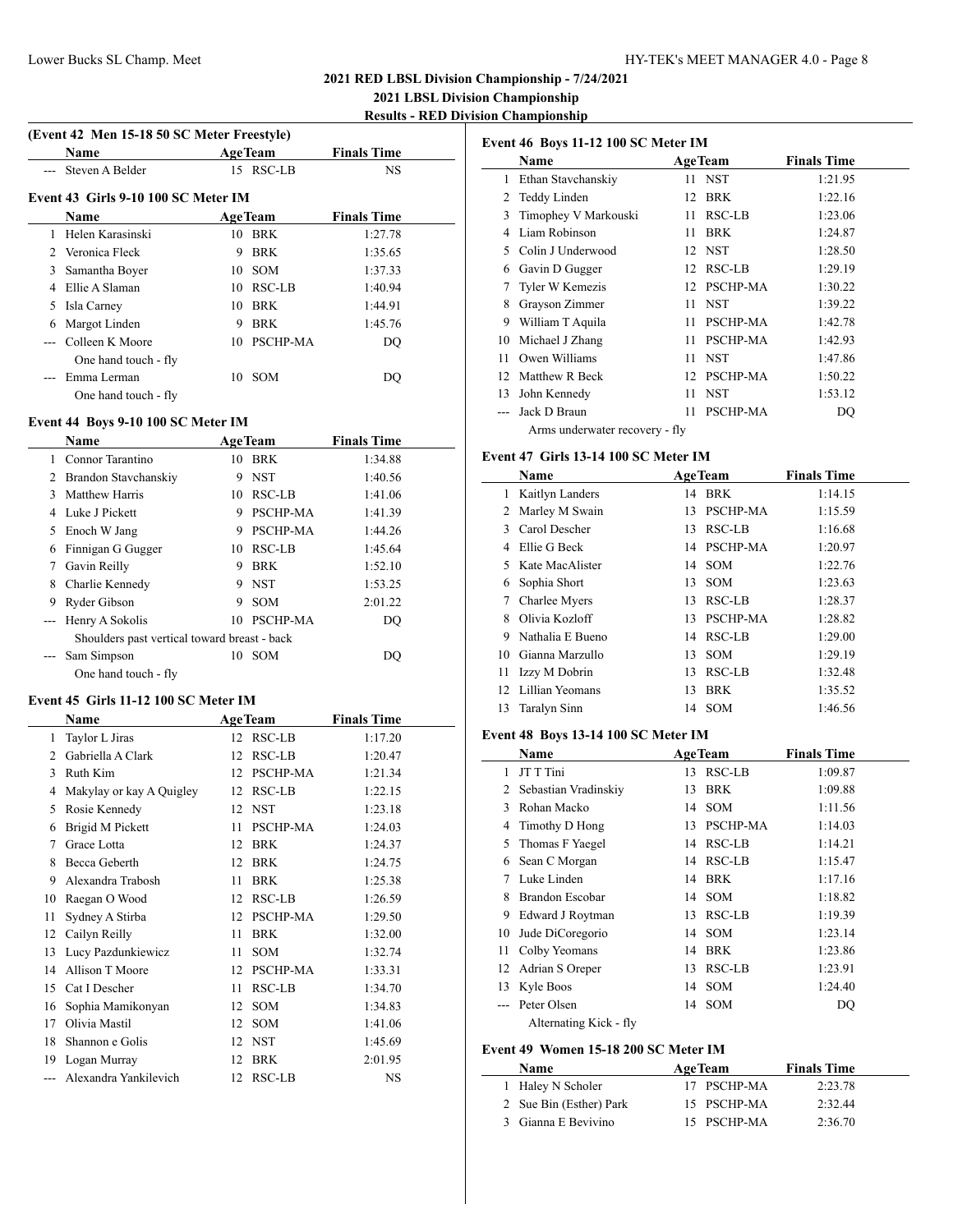**2021 LBSL Division Championship Results - RED Division Championship**

|  |  | (Event 42 Men 15-18 50 SC Meter Freestyle) |  |
|--|--|--------------------------------------------|--|
|  |  |                                            |  |

|                | <b>Name</b>                         |    | <b>AgeTeam</b> | <b>Finals Time</b> |
|----------------|-------------------------------------|----|----------------|--------------------|
|                | Steven A Belder                     |    | 15 RSC-LB      | <b>NS</b>          |
|                | Event 43 Girls 9-10 100 SC Meter IM |    |                |                    |
|                | <b>Name</b>                         |    | <b>AgeTeam</b> | <b>Finals Time</b> |
|                | Helen Karasinski                    | 10 | BRK            | 1:27.78            |
| $\mathfrak{D}$ | Veronica Fleck                      | 9  | <b>BRK</b>     | 1:35.65            |
| 3              | Samantha Boyer                      | 10 | - SOM          | 1:37.33            |
| 4              | Ellie A Slaman                      | 10 | RSC-LB         | 1:40.94            |
| 5              | Isla Carney                         | 10 | BRK            | 1:44.91            |
| 6              | Margot Linden                       | 9  | <b>BRK</b>     | 1:45.76            |
|                | Colleen K Moore                     | 10 | PSCHP-MA       | DQ                 |
|                | One hand touch - fly                |    |                |                    |
|                | Emma Lerman                         | 10 | <b>SOM</b>     | DO                 |
|                | One hand touch - fly                |    |                |                    |

## **Event 44 Boys 9-10 100 SC Meter IM**

|   | Name                                         |    | <b>AgeTeam</b>  | <b>Finals Time</b> |  |
|---|----------------------------------------------|----|-----------------|--------------------|--|
| 1 | Connor Tarantino                             | 10 | <b>BRK</b>      | 1:34.88            |  |
| 2 | Brandon Stavchanskiy                         | 9  | <b>NST</b>      | 1:40.56            |  |
| 3 | Matthew Harris                               | 10 | <b>RSC-LB</b>   | 1:41.06            |  |
| 4 | Luke J Pickett                               | 9  | <b>PSCHP-MA</b> | 1:41.39            |  |
| 5 | Enoch W Jang                                 | 9  | <b>PSCHP-MA</b> | 1:44.26            |  |
| 6 | Finnigan G Gugger                            | 10 | RSC-LB          | 1:45.64            |  |
| 7 | Gavin Reilly                                 | 9  | <b>BRK</b>      | 1:52.10            |  |
| 8 | Charlie Kennedy                              |    | 9 NST           | 1:53.25            |  |
| 9 | Ryder Gibson                                 | 9  | <b>SOM</b>      | 2:01.22            |  |
|   | Henry A Sokolis                              | 10 | <b>PSCHP-MA</b> | DO                 |  |
|   | Shoulders past vertical toward breast - back |    |                 |                    |  |
|   | Sam Simpson                                  | 10 | <b>SOM</b>      | DO                 |  |
|   | One hand touch - fly                         |    |                 |                    |  |

#### **Event 45 Girls 11-12 100 SC Meter IM**

 $\overline{a}$ 

|     | Name                     |                 | <b>AgeTeam</b>  | <b>Finals Time</b> |  |
|-----|--------------------------|-----------------|-----------------|--------------------|--|
| 1   | Taylor L Jiras           | 12 <sup>7</sup> | RSC-LB          | 1:17.20            |  |
| 2   | Gabriella A Clark        | 12              | RSC-LB          | 1:20.47            |  |
| 3   | Ruth Kim                 | 12              | <b>PSCHP-MA</b> | 1:21.34            |  |
| 4   | Makylay or kay A Quigley | 12              | RSC-LB          | 1:22.15            |  |
| 5   | Rosie Kennedy            |                 | 12 NST          | 1:23.18            |  |
| 6   | Brigid M Pickett         | 11              | <b>PSCHP-MA</b> | 1:24.03            |  |
| 7   | Grace Lotta              | 12              | <b>BRK</b>      | 1:24.37            |  |
| 8   | Becca Geberth            | 12              | <b>BRK</b>      | 1:24.75            |  |
| 9   | Alexandra Trabosh        | 11              | <b>BRK</b>      | 1:25.38            |  |
| 10  | Raegan O Wood            | 12              | RSC-LB          | 1:26.59            |  |
| 11  | Sydney A Stirba          | 12              | PSCHP-MA        | 1:29.50            |  |
| 12  | Cailyn Reilly            | 11              | <b>BRK</b>      | 1:32.00            |  |
| 13  | Lucy Pazdunkiewicz       | 11              | <b>SOM</b>      | 1:32.74            |  |
| 14  | Allison T Moore          | 12              | PSCHP-MA        | 1:33.31            |  |
| 15  | Cat I Descher            | 11              | RSC-LB          | 1:34.70            |  |
| 16  | Sophia Mamikonyan        | 12              | <b>SOM</b>      | 1:34.83            |  |
| 17  | Olivia Mastil            | 12              | <b>SOM</b>      | 1:41.06            |  |
| 18  | Shannon e Golis          | 12              | <b>NST</b>      | 1:45.69            |  |
| 19  | Logan Murray             | 12              | <b>BRK</b>      | 2:01.95            |  |
| --- | Alexandra Yankilevich    |                 | 12 RSC-LB       | <b>NS</b>          |  |

| Event 46 Boys 11-12 100 SC Meter IM |                                |    |                 |                    |  |  |
|-------------------------------------|--------------------------------|----|-----------------|--------------------|--|--|
|                                     | Name                           |    | <b>AgeTeam</b>  | <b>Finals Time</b> |  |  |
| 1                                   | Ethan Stavchanskiy             |    | 11 NST          | 1:21.95            |  |  |
| 2                                   | Teddy Linden                   | 12 | <b>BRK</b>      | 1:22.16            |  |  |
| 3                                   | Timophey V Markouski           | 11 | RSC-LB          | 1:23.06            |  |  |
| 4                                   | Liam Robinson                  | 11 | <b>BRK</b>      | 1:24.87            |  |  |
| 5.                                  | Colin J Underwood              |    | 12 NST          | 1:28.50            |  |  |
| 6                                   | Gavin D Gugger                 | 12 | RSC-LB          | 1:29.19            |  |  |
| 7                                   | Tyler W Kemezis                | 12 | PSCHP-MA        | 1:30.22            |  |  |
| 8                                   | Grayson Zimmer                 | 11 | <b>NST</b>      | 1:39.22            |  |  |
| 9                                   | William T Aquila               | 11 | PSCHP-MA        | 1:42.78            |  |  |
| 10                                  | Michael J Zhang                | 11 | PSCHP-MA        | 1:42.93            |  |  |
| 11                                  | Owen Williams                  | 11 | <b>NST</b>      | 1:47.86            |  |  |
| 12 <sup>2</sup>                     | Matthew R Beck                 | 12 | <b>PSCHP-MA</b> | 1:50.22            |  |  |
| 13                                  | John Kennedy                   | 11 | <b>NST</b>      | 1:53.12            |  |  |
|                                     | Jack D Braun                   | 11 | PSCHP-MA        | DO                 |  |  |
|                                     | Arms underwater recovery - fly |    |                 |                    |  |  |

#### **Event 47 Girls 13-14 100 SC Meter IM**

|                 | Name             |    | <b>AgeTeam</b>  | <b>Finals Time</b> |
|-----------------|------------------|----|-----------------|--------------------|
| 1               | Kaitlyn Landers  | 14 | <b>BRK</b>      | 1:14.15            |
| 2               | Marley M Swain   | 13 | <b>PSCHP-MA</b> | 1:15.59            |
| 3               | Carol Descher    | 13 | RSC-LB          | 1:16.68            |
| 4               | Ellie G Beck     |    | 14 PSCHP-MA     | 1:20.97            |
|                 | Kate MacAlister  |    | 14 SOM          | 1:22.76            |
| 6               | Sophia Short     |    | 13 SOM          | 1:23.63            |
| 7               | Charlee Myers    | 13 | RSC-LB          | 1:28.37            |
| 8               | Olivia Kozloff   | 13 | <b>PSCHP-MA</b> | 1:28.82            |
| 9               | Nathalia E Bueno |    | 14 RSC-LB       | 1:29.00            |
| 10              | Gianna Marzullo  | 13 | <b>SOM</b>      | 1:29.19            |
| 11              | Izzy M Dobrin    | 13 | RSC-LB          | 1:32.48            |
| 12 <sub>1</sub> | Lillian Yeomans  | 13 | <b>BRK</b>      | 1:35.52            |
| 13              | Taralyn Sinn     |    | 14 SOM          | 1:46.56            |

#### **Event 48 Boys 13-14 100 SC Meter IM**

|    | Name                   |    | <b>AgeTeam</b>  | <b>Finals Time</b> |
|----|------------------------|----|-----------------|--------------------|
| 1  | JT T Tini              | 13 | RSC-LB          | 1:09.87            |
| 2  | Sebastian Vradinskiy   | 13 | <b>BRK</b>      | 1:09.88            |
| 3  | Rohan Macko            |    | 14 SOM          | 1:11.56            |
| 4  | Timothy D Hong         | 13 | <b>PSCHP-MA</b> | 1:14.03            |
| 5  | Thomas F Yaegel        | 14 | RSC-LB          | 1:14.21            |
| 6  | Sean C Morgan          |    | 14 RSC-LB       | 1:15.47            |
| 7  | Luke Linden            | 14 | BRK             | 1:17.16            |
| 8  | Brandon Escobar        | 14 | <b>SOM</b>      | 1:18.82            |
| 9  | Edward J Roytman       | 13 | RSC-LB          | 1:19.39            |
| 10 | Jude DiCoregorio       |    | 14 SOM          | 1:23.14            |
| 11 | Colby Yeomans          | 14 | <b>BRK</b>      | 1:23.86            |
| 12 | Adrian S Oreper        | 13 | RSC-LB          | 1:23.91            |
| 13 | Kyle Boos              |    | 14 SOM          | 1:24.40            |
|    | Peter Olsen            |    | 14 SOM          | DQ                 |
|    | Alternating Kick - fly |    |                 |                    |

## **Event 49 Women 15-18 200 SC Meter IM**

| Name                    | <b>AgeTeam</b> | <b>Finals Time</b> |
|-------------------------|----------------|--------------------|
| 1 Haley N Scholer       | 17 PSCHP-MA    | 2:23.78            |
| 2 Sue Bin (Esther) Park | 15 PSCHP-MA    | 2:32.44            |
| 3 Gianna E Bevivino     | 15 PSCHP-MA    | 2:36.70            |